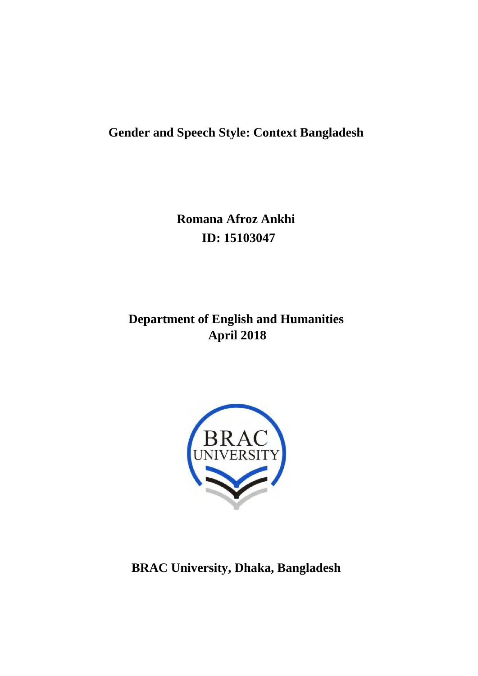## **Gender and Speech Style: Context Bangladesh**

**Romana Afroz Ankhi ID: 15103047**

## **Department of English and Humanities April 2018**



**BRAC University, Dhaka, Bangladesh**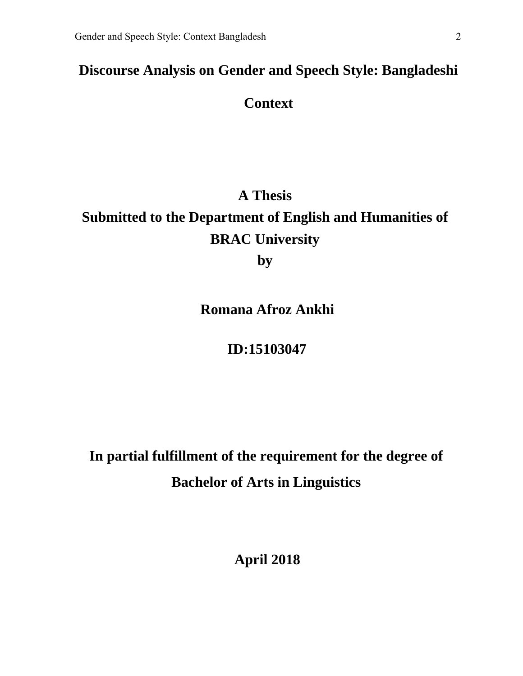## **Discourse Analysis on Gender and Speech Style: Bangladeshi**

## **Context**

# **A Thesis**

## **Submitted to the Department of English and Humanities of BRAC University**

**by**

**Romana Afroz Ankhi**

## **ID:15103047**

**In partial fulfillment of the requirement for the degree of Bachelor of Arts in Linguistics** 

**April 2018**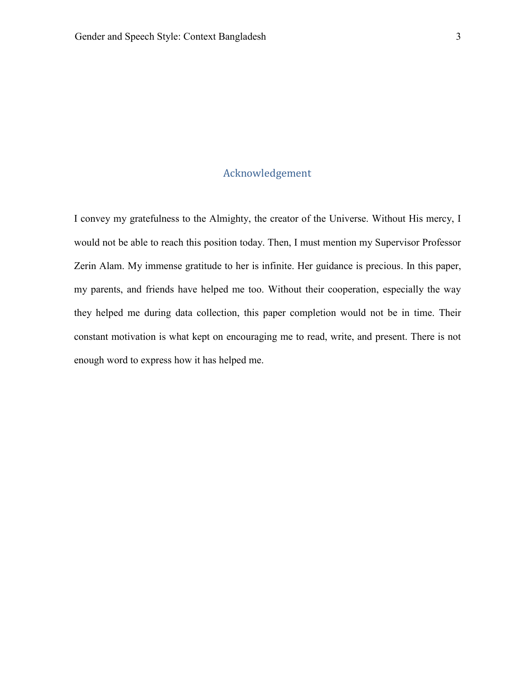#### Acknowledgement

I convey my gratefulness to the Almighty, the creator of the Universe. Without His mercy, I would not be able to reach this position today. Then, I must mention my Supervisor Professor Zerin Alam. My immense gratitude to her is infinite. Her guidance is precious. In this paper, my parents, and friends have helped me too. Without their cooperation, especially the way they helped me during data collection, this paper completion would not be in time. Their constant motivation is what kept on encouraging me to read, write, and present. There is not enough word to express how it has helped me.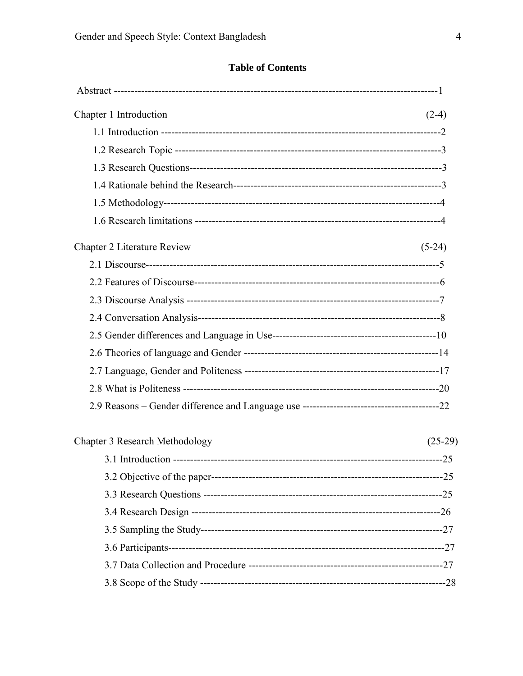## **Table of Contents**

| Chapter 1 Introduction         | $(2-4)$   |
|--------------------------------|-----------|
|                                |           |
|                                |           |
|                                |           |
|                                |           |
|                                |           |
|                                |           |
| Chapter 2 Literature Review    | $(5-24)$  |
|                                |           |
|                                |           |
|                                |           |
|                                |           |
|                                |           |
|                                |           |
|                                |           |
|                                |           |
|                                |           |
| Chapter 3 Research Methodology | $(25-29)$ |
|                                |           |
|                                |           |
|                                |           |
|                                |           |
|                                |           |
|                                |           |
|                                |           |
|                                |           |
|                                |           |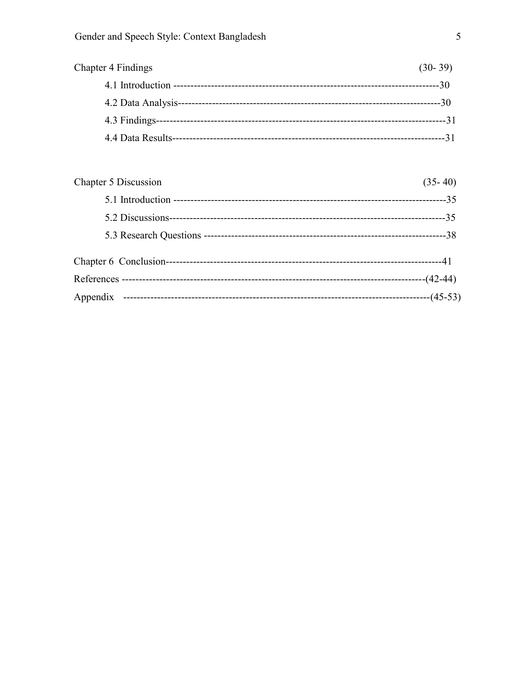| Chapter 4 Findings | $(30-39)$ |
|--------------------|-----------|
|                    | -30       |
| 4.2 Data Analysis- | -30       |
|                    | -31       |
| 4.4 Data Results-- |           |
|                    |           |

| Chapter 5 Discussion | $(35-40)$ |
|----------------------|-----------|
|                      |           |
|                      |           |
|                      |           |
|                      |           |
|                      |           |
|                      |           |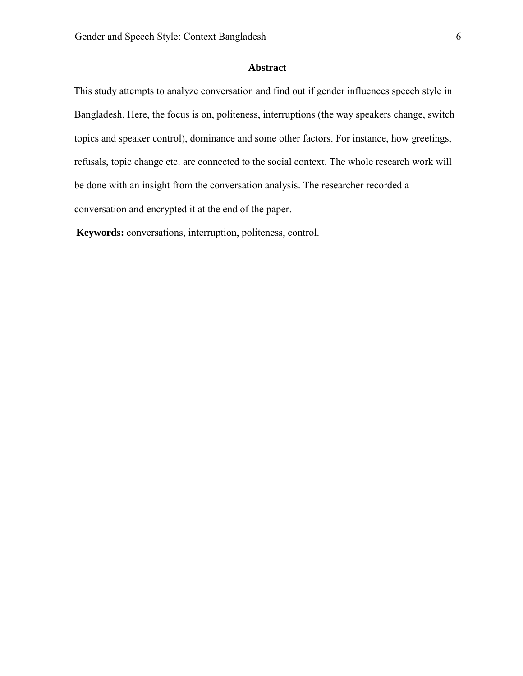#### **Abstract**

This study attempts to analyze conversation and find out if gender influences speech style in Bangladesh. Here, the focus is on, politeness, interruptions (the way speakers change, switch topics and speaker control), dominance and some other factors. For instance, how greetings, refusals, topic change etc. are connected to the social context. The whole research work will be done with an insight from the conversation analysis. The researcher recorded a conversation and encrypted it at the end of the paper.

**Keywords:** conversations, interruption, politeness, control.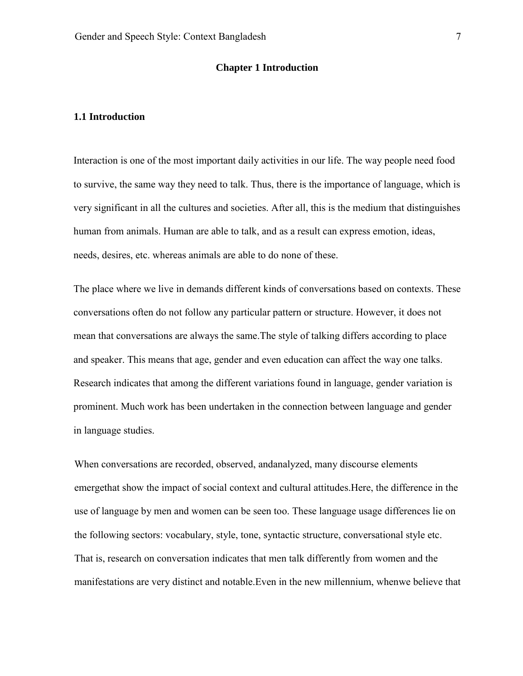#### **Chapter 1 Introduction**

#### **1.1 Introduction**

Interaction is one of the most important daily activities in our life. The way people need food to survive, the same way they need to talk. Thus, there is the importance of language, which is very significant in all the cultures and societies. After all, this is the medium that distinguishes human from animals. Human are able to talk, and as a result can express emotion, ideas, needs, desires, etc. whereas animals are able to do none of these.

The place where we live in demands different kinds of conversations based on contexts. These conversations often do not follow any particular pattern or structure. However, it does not mean that conversations are always the same.The style of talking differs according to place and speaker. This means that age, gender and even education can affect the way one talks. Research indicates that among the different variations found in language, gender variation is prominent. Much work has been undertaken in the connection between language and gender in language studies.

When conversations are recorded, observed, andanalyzed, many discourse elements emergethat show the impact of social context and cultural attitudes.Here, the difference in the use of language by men and women can be seen too. These language usage differences lie on the following sectors: vocabulary, style, tone, syntactic structure, conversational style etc. That is, research on conversation indicates that men talk differently from women and the manifestations are very distinct and notable.Even in the new millennium, whenwe believe that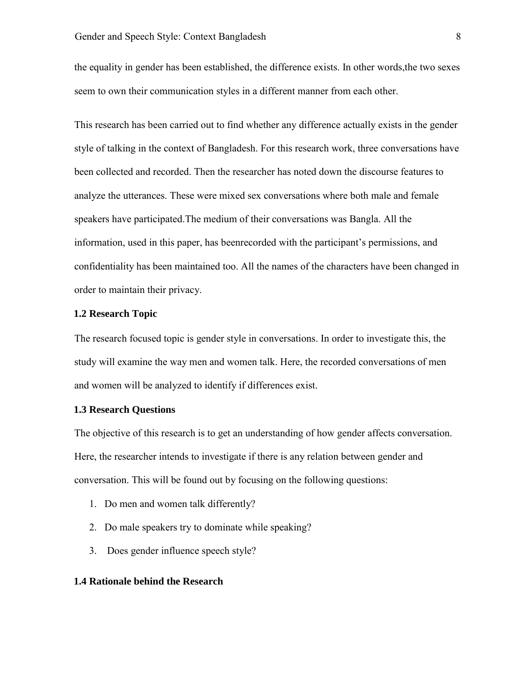the equality in gender has been established, the difference exists. In other words,the two sexes seem to own their communication styles in a different manner from each other.

This research has been carried out to find whether any difference actually exists in the gender style of talking in the context of Bangladesh. For this research work, three conversations have been collected and recorded. Then the researcher has noted down the discourse features to analyze the utterances. These were mixed sex conversations where both male and female speakers have participated.The medium of their conversations was Bangla. All the information, used in this paper, has beenrecorded with the participant's permissions, and confidentiality has been maintained too. All the names of the characters have been changed in order to maintain their privacy.

#### **1.2 Research Topic**

The research focused topic is gender style in conversations. In order to investigate this, the study will examine the way men and women talk. Here, the recorded conversations of men and women will be analyzed to identify if differences exist.

#### **1.3 Research Questions**

The objective of this research is to get an understanding of how gender affects conversation. Here, the researcher intends to investigate if there is any relation between gender and conversation. This will be found out by focusing on the following questions:

- 1. Do men and women talk differently?
- 2. Do male speakers try to dominate while speaking?
- 3. Does gender influence speech style?

#### **1.4 Rationale behind the Research**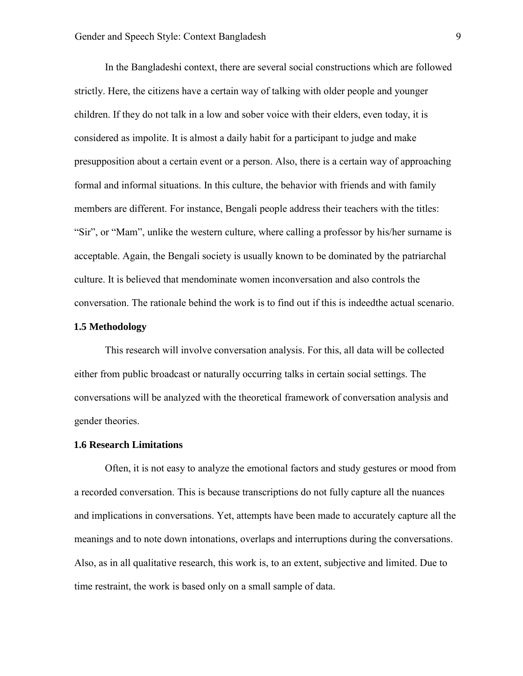In the Bangladeshi context, there are several social constructions which are followed strictly. Here, the citizens have a certain way of talking with older people and younger children. If they do not talk in a low and sober voice with their elders, even today, it is considered as impolite. It is almost a daily habit for a participant to judge and make presupposition about a certain event or a person. Also, there is a certain way of approaching formal and informal situations. In this culture, the behavior with friends and with family members are different. For instance, Bengali people address their teachers with the titles: "Sir", or "Mam", unlike the western culture, where calling a professor by his/her surname is acceptable. Again, the Bengali society is usually known to be dominated by the patriarchal culture. It is believed that mendominate women inconversation and also controls the conversation. The rationale behind the work is to find out if this is indeedthe actual scenario.

#### **1.5 Methodology**

This research will involve conversation analysis. For this, all data will be collected either from public broadcast or naturally occurring talks in certain social settings. The conversations will be analyzed with the theoretical framework of conversation analysis and gender theories.

#### **1.6 Research Limitations**

Often, it is not easy to analyze the emotional factors and study gestures or mood from a recorded conversation. This is because transcriptions do not fully capture all the nuances and implications in conversations. Yet, attempts have been made to accurately capture all the meanings and to note down intonations, overlaps and interruptions during the conversations. Also, as in all qualitative research, this work is, to an extent, subjective and limited. Due to time restraint, the work is based only on a small sample of data.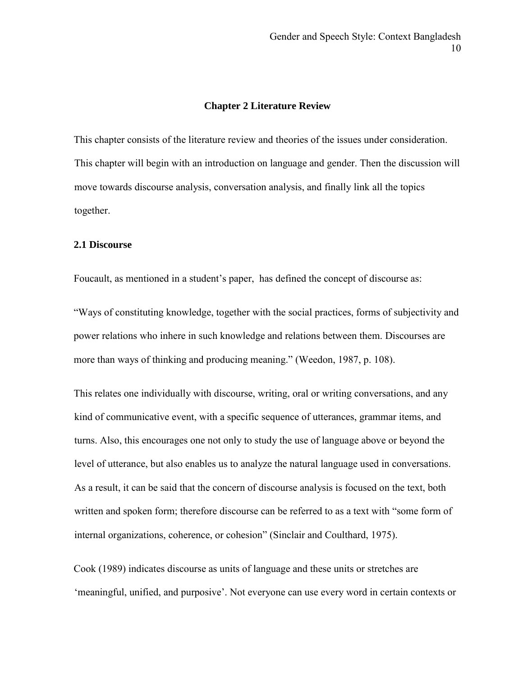#### **Chapter 2 Literature Review**

This chapter consists of the literature review and theories of the issues under consideration. This chapter will begin with an introduction on language and gender. Then the discussion will move towards discourse analysis, conversation analysis, and finally link all the topics together.

#### **2.1 Discourse**

Foucault, as mentioned in a student's paper, has defined the concept of discourse as:

"Ways of constituting knowledge, together with the social practices, forms of subjectivity and power relations who inhere in such knowledge and relations between them. Discourses are more than ways of thinking and producing meaning." (Weedon, 1987, p. 108).

This relates one individually with discourse, writing, oral or writing conversations, and any kind of communicative event, with a specific sequence of utterances, grammar items, and turns. Also, this encourages one not only to study the use of language above or beyond the level of utterance, but also enables us to analyze the natural language used in conversations. As a result, it can be said that the concern of discourse analysis is focused on the text, both written and spoken form; therefore discourse can be referred to as a text with "some form of internal organizations, coherence, or cohesion" (Sinclair and Coulthard, 1975).

Cook (1989) indicates discourse as units of language and these units or stretches are 'meaningful, unified, and purposive'. Not everyone can use every word in certain contexts or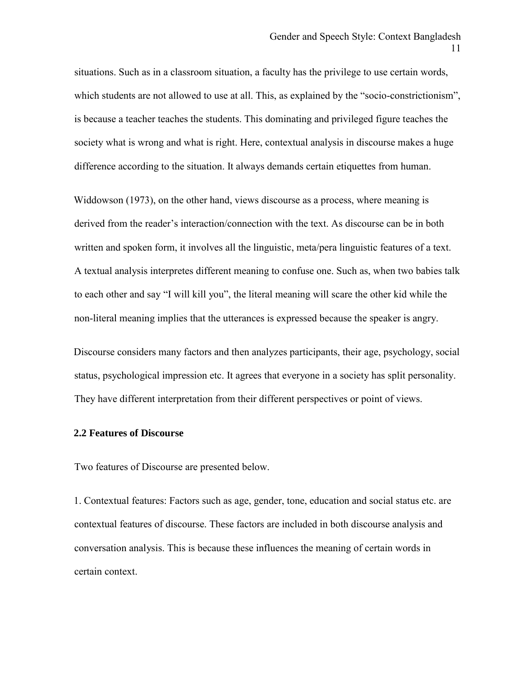situations. Such as in a classroom situation, a faculty has the privilege to use certain words, which students are not allowed to use at all. This, as explained by the "socio-constrictionism", is because a teacher teaches the students. This dominating and privileged figure teaches the society what is wrong and what is right. Here, contextual analysis in discourse makes a huge difference according to the situation. It always demands certain etiquettes from human.

Widdowson (1973), on the other hand, views discourse as a process, where meaning is derived from the reader's interaction/connection with the text. As discourse can be in both written and spoken form, it involves all the linguistic, meta/pera linguistic features of a text. A textual analysis interpretes different meaning to confuse one. Such as, when two babies talk to each other and say "I will kill you", the literal meaning will scare the other kid while the non-literal meaning implies that the utterances is expressed because the speaker is angry.

Discourse considers many factors and then analyzes participants, their age, psychology, social status, psychological impression etc. It agrees that everyone in a society has split personality. They have different interpretation from their different perspectives or point of views.

#### **2.2 Features of Discourse**

Two features of Discourse are presented below.

1. Contextual features: Factors such as age, gender, tone, education and social status etc. are contextual features of discourse. These factors are included in both discourse analysis and conversation analysis. This is because these influences the meaning of certain words in certain context.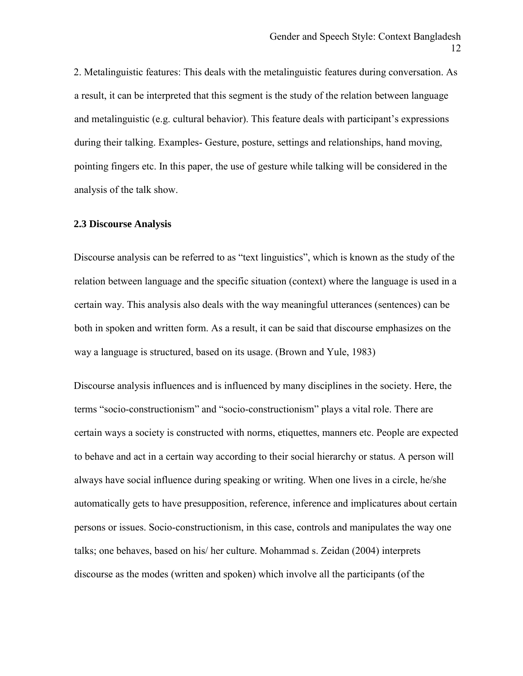2. Metalinguistic features: This deals with the metalinguistic features during conversation. As a result, it can be interpreted that this segment is the study of the relation between language and metalinguistic (e.g. cultural behavior). This feature deals with participant's expressions during their talking. Examples- Gesture, posture, settings and relationships, hand moving, pointing fingers etc. In this paper, the use of gesture while talking will be considered in the analysis of the talk show.

#### **2.3 Discourse Analysis**

Discourse analysis can be referred to as "text linguistics", which is known as the study of the relation between language and the specific situation (context) where the language is used in a certain way. This analysis also deals with the way meaningful utterances (sentences) can be both in spoken and written form. As a result, it can be said that discourse emphasizes on the way a language is structured, based on its usage. (Brown and Yule, 1983)

Discourse analysis influences and is influenced by many disciplines in the society. Here, the terms "socio-constructionism" and "socio-constructionism" plays a vital role. There are certain ways a society is constructed with norms, etiquettes, manners etc. People are expected to behave and act in a certain way according to their social hierarchy or status. A person will always have social influence during speaking or writing. When one lives in a circle, he/she automatically gets to have presupposition, reference, inference and implicatures about certain persons or issues. Socio-constructionism, in this case, controls and manipulates the way one talks; one behaves, based on his/ her culture. Mohammad s. Zeidan (2004) interprets discourse as the modes (written and spoken) which involve all the participants (of the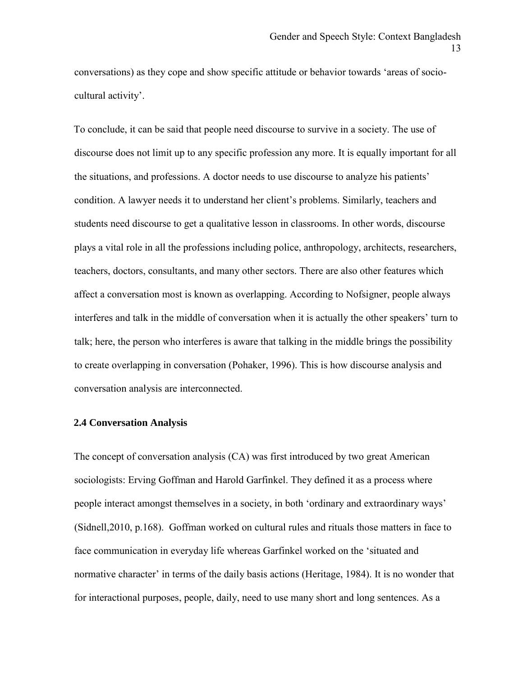conversations) as they cope and show specific attitude or behavior towards 'areas of sociocultural activity'.

To conclude, it can be said that people need discourse to survive in a society. The use of discourse does not limit up to any specific profession any more. It is equally important for all the situations, and professions. A doctor needs to use discourse to analyze his patients' condition. A lawyer needs it to understand her client's problems. Similarly, teachers and students need discourse to get a qualitative lesson in classrooms. In other words, discourse plays a vital role in all the professions including police, anthropology, architects, researchers, teachers, doctors, consultants, and many other sectors. There are also other features which affect a conversation most is known as overlapping. According to Nofsigner, people always interferes and talk in the middle of conversation when it is actually the other speakers' turn to talk; here, the person who interferes is aware that talking in the middle brings the possibility to create overlapping in conversation (Pohaker, 1996). This is how discourse analysis and conversation analysis are interconnected.

#### **2.4 Conversation Analysis**

The concept of conversation analysis (CA) was first introduced by two great American sociologists: Erving Goffman and Harold Garfinkel. They defined it as a process where people interact amongst themselves in a society, in both 'ordinary and extraordinary ways' (Sidnell,2010, p.168). Goffman worked on cultural rules and rituals those matters in face to face communication in everyday life whereas Garfinkel worked on the 'situated and normative character' in terms of the daily basis actions (Heritage, 1984). It is no wonder that for interactional purposes, people, daily, need to use many short and long sentences. As a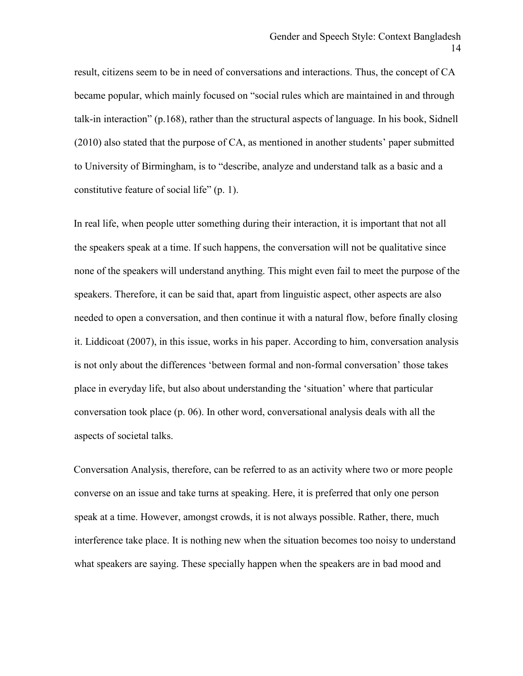result, citizens seem to be in need of conversations and interactions. Thus, the concept of CA became popular, which mainly focused on "social rules which are maintained in and through talk-in interaction" (p.168), rather than the structural aspects of language. In his book, Sidnell (2010) also stated that the purpose of CA, as mentioned in another students' paper submitted to University of Birmingham, is to "describe, analyze and understand talk as a basic and a constitutive feature of social life" (p. 1).

In real life, when people utter something during their interaction, it is important that not all the speakers speak at a time. If such happens, the conversation will not be qualitative since none of the speakers will understand anything. This might even fail to meet the purpose of the speakers. Therefore, it can be said that, apart from linguistic aspect, other aspects are also needed to open a conversation, and then continue it with a natural flow, before finally closing it. Liddicoat (2007), in this issue, works in his paper. According to him, conversation analysis is not only about the differences 'between formal and non-formal conversation' those takes place in everyday life, but also about understanding the 'situation' where that particular conversation took place (p. 06). In other word, conversational analysis deals with all the aspects of societal talks.

Conversation Analysis, therefore, can be referred to as an activity where two or more people converse on an issue and take turns at speaking. Here, it is preferred that only one person speak at a time. However, amongst crowds, it is not always possible. Rather, there, much interference take place. It is nothing new when the situation becomes too noisy to understand what speakers are saying. These specially happen when the speakers are in bad mood and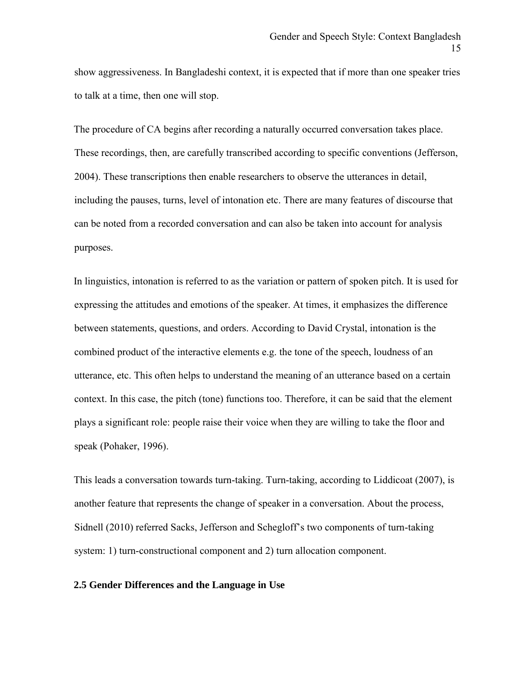show aggressiveness. In Bangladeshi context, it is expected that if more than one speaker tries to talk at a time, then one will stop.

The procedure of CA begins after recording a naturally occurred conversation takes place. These recordings, then, are carefully transcribed according to specific conventions (Jefferson, 2004). These transcriptions then enable researchers to observe the utterances in detail, including the pauses, turns, level of intonation etc. There are many features of discourse that can be noted from a recorded conversation and can also be taken into account for analysis purposes.

In linguistics, intonation is referred to as the variation or pattern of spoken pitch. It is used for expressing the attitudes and emotions of the speaker. At times, it emphasizes the difference between statements, questions, and orders. According to David Crystal, intonation is the combined product of the interactive elements e.g. the tone of the speech, loudness of an utterance, etc. This often helps to understand the meaning of an utterance based on a certain context. In this case, the pitch (tone) functions too. Therefore, it can be said that the element plays a significant role: people raise their voice when they are willing to take the floor and speak (Pohaker, 1996).

This leads a conversation towards turn-taking. Turn-taking, according to Liddicoat (2007), is another feature that represents the change of speaker in a conversation. About the process, Sidnell (2010) referred Sacks, Jefferson and Schegloff's two components of turn-taking system: 1) turn-constructional component and 2) turn allocation component.

#### **2.5 Gender Differences and the Language in Use**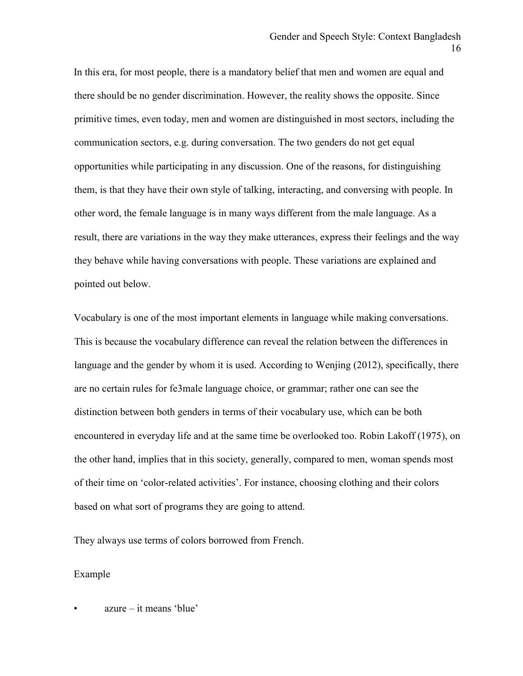In this era, for most people, there is a mandatory belief that men and women are equal and there should be no gender discrimination. However, the reality shows the opposite. Since primitive times, even today, men and women are distinguished in most sectors, including the communication sectors, e.g. during conversation. The two genders do not get equal opportunities while participating in any discussion. One of the reasons, for distinguishing them, is that they have their own style of talking, interacting, and conversing with people. In other word, the female language is in many ways different from the male language. As a result, there are variations in the way they make utterances, express their feelings and the way they behave while having conversations with people. These variations are explained and pointed out below.

Vocabulary is one of the most important elements in language while making conversations. This is because the vocabulary difference can reveal the relation between the differences in language and the gender by whom it is used. According to Wenjing (2012), specifically, there are no certain rules for fe3male language choice, or grammar; rather one can see the distinction between both genders in terms of their vocabulary use, which can be both encountered in everyday life and at the same time be overlooked too. Robin Lakoff (1975), on the other hand, implies that in this society, generally, compared to men, woman spends most of their time on 'color-related activities'. For instance, choosing clothing and their colors based on what sort of programs they are going to attend.

They always use terms of colors borrowed from French.

#### Example

• azure – it means 'blue'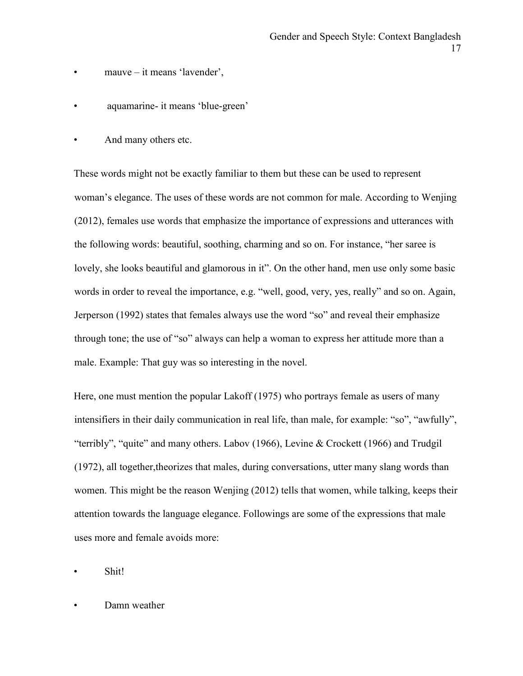- $mauve it means 'lavender',$
- aquamarine- it means 'blue-green'
- And many others etc.

These words might not be exactly familiar to them but these can be used to represent woman's elegance. The uses of these words are not common for male. According to Wenjing (2012), females use words that emphasize the importance of expressions and utterances with the following words: beautiful, soothing, charming and so on. For instance, "her saree is lovely, she looks beautiful and glamorous in it". On the other hand, men use only some basic words in order to reveal the importance, e.g. "well, good, very, yes, really" and so on. Again, Jerperson (1992) states that females always use the word "so" and reveal their emphasize through tone; the use of "so" always can help a woman to express her attitude more than a male. Example: That guy was so interesting in the novel.

Here, one must mention the popular Lakoff (1975) who portrays female as users of many intensifiers in their daily communication in real life, than male, for example: "so", "awfully", "terribly", "quite" and many others. Labov (1966), Levine & Crockett (1966) and Trudgil (1972), all together,theorizes that males, during conversations, utter many slang words than women. This might be the reason Wenjing (2012) tells that women, while talking, keeps their attention towards the language elegance. Followings are some of the expressions that male uses more and female avoids more:

Shit!

Damn weather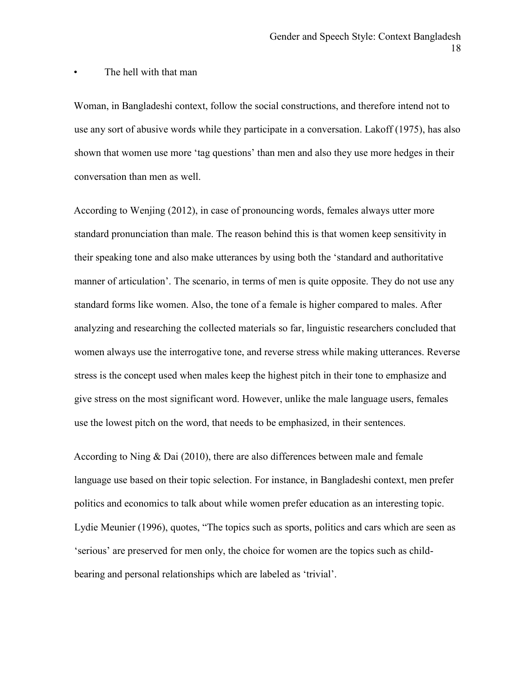#### The hell with that man

Woman, in Bangladeshi context, follow the social constructions, and therefore intend not to use any sort of abusive words while they participate in a conversation. Lakoff (1975), has also shown that women use more 'tag questions' than men and also they use more hedges in their conversation than men as well.

According to Wenjing (2012), in case of pronouncing words, females always utter more standard pronunciation than male. The reason behind this is that women keep sensitivity in their speaking tone and also make utterances by using both the 'standard and authoritative manner of articulation'. The scenario, in terms of men is quite opposite. They do not use any standard forms like women. Also, the tone of a female is higher compared to males. After analyzing and researching the collected materials so far, linguistic researchers concluded that women always use the interrogative tone, and reverse stress while making utterances. Reverse stress is the concept used when males keep the highest pitch in their tone to emphasize and give stress on the most significant word. However, unlike the male language users, females use the lowest pitch on the word, that needs to be emphasized, in their sentences.

According to Ning & Dai (2010), there are also differences between male and female language use based on their topic selection. For instance, in Bangladeshi context, men prefer politics and economics to talk about while women prefer education as an interesting topic. Lydie Meunier (1996), quotes, "The topics such as sports, politics and cars which are seen as 'serious' are preserved for men only, the choice for women are the topics such as childbearing and personal relationships which are labeled as 'trivial'.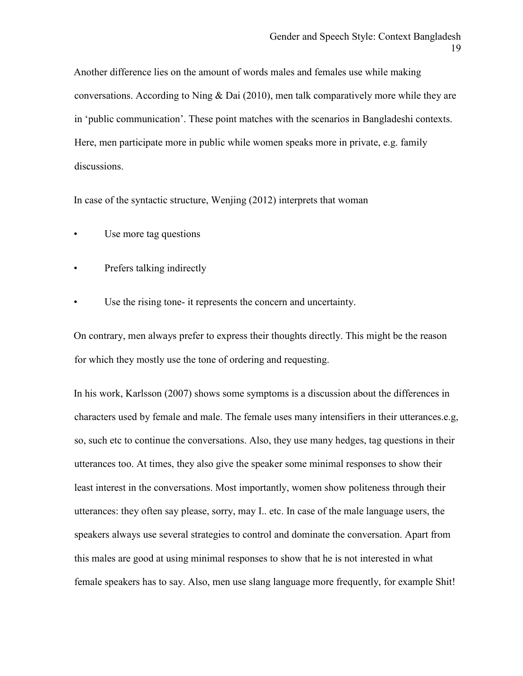Another difference lies on the amount of words males and females use while making conversations. According to Ning & Dai (2010), men talk comparatively more while they are in 'public communication'. These point matches with the scenarios in Bangladeshi contexts. Here, men participate more in public while women speaks more in private, e.g. family discussions.

In case of the syntactic structure, Wenjing (2012) interprets that woman

- Use more tag questions
- Prefers talking indirectly
- Use the rising tone- it represents the concern and uncertainty.

On contrary, men always prefer to express their thoughts directly. This might be the reason for which they mostly use the tone of ordering and requesting.

In his work, Karlsson (2007) shows some symptoms is a discussion about the differences in characters used by female and male. The female uses many intensifiers in their utterances.e.g, so, such etc to continue the conversations. Also, they use many hedges, tag questions in their utterances too. At times, they also give the speaker some minimal responses to show their least interest in the conversations. Most importantly, women show politeness through their utterances: they often say please, sorry, may I.. etc. In case of the male language users, the speakers always use several strategies to control and dominate the conversation. Apart from this males are good at using minimal responses to show that he is not interested in what female speakers has to say. Also, men use slang language more frequently, for example Shit!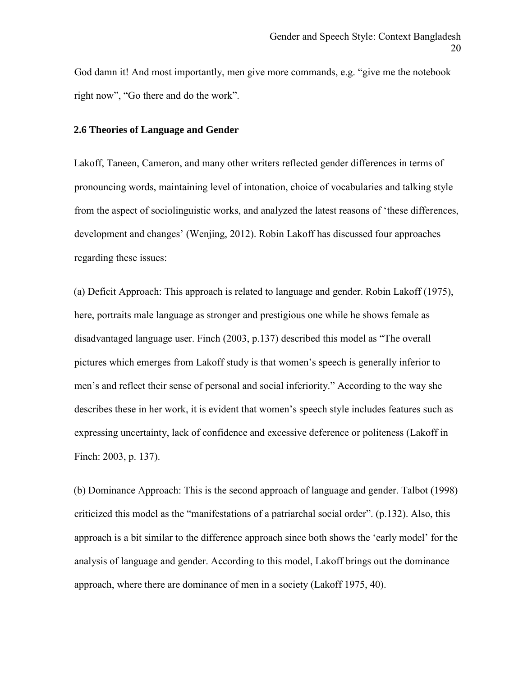God damn it! And most importantly, men give more commands, e.g. "give me the notebook right now", "Go there and do the work".

#### **2.6 Theories of Language and Gender**

Lakoff, Taneen, Cameron, and many other writers reflected gender differences in terms of pronouncing words, maintaining level of intonation, choice of vocabularies and talking style from the aspect of sociolinguistic works, and analyzed the latest reasons of 'these differences, development and changes' (Wenjing, 2012). Robin Lakoff has discussed four approaches regarding these issues:

(a) Deficit Approach: This approach is related to language and gender. Robin Lakoff (1975), here, portraits male language as stronger and prestigious one while he shows female as disadvantaged language user. Finch (2003, p.137) described this model as "The overall pictures which emerges from Lakoff study is that women's speech is generally inferior to men's and reflect their sense of personal and social inferiority." According to the way she describes these in her work, it is evident that women's speech style includes features such as expressing uncertainty, lack of confidence and excessive deference or politeness (Lakoff in Finch: 2003, p. 137).

(b) Dominance Approach: This is the second approach of language and gender. Talbot (1998) criticized this model as the "manifestations of a patriarchal social order". (p.132). Also, this approach is a bit similar to the difference approach since both shows the 'early model' for the analysis of language and gender. According to this model, Lakoff brings out the dominance approach, where there are dominance of men in a society (Lakoff 1975, 40).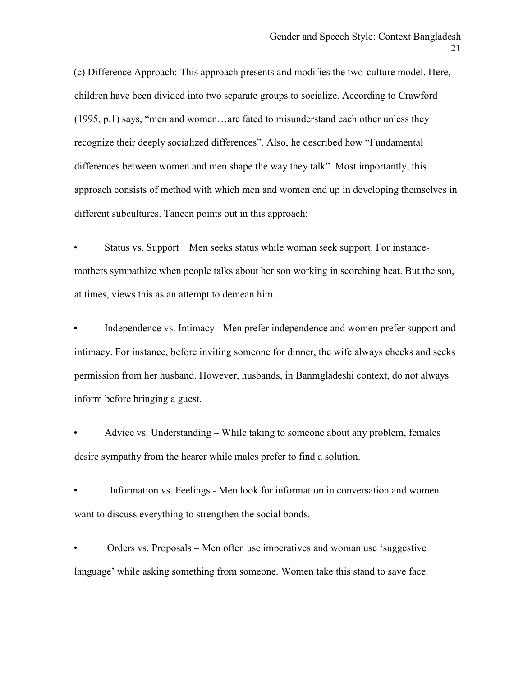(c) Difference Approach: This approach presents and modifies the two-culture model. Here, children have been divided into two separate groups to socialize. According to Crawford (1995, p.1) says, "men and women…are fated to misunderstand each other unless they recognize their deeply socialized differences". Also, he described how "Fundamental differences between women and men shape the way they talk". Most importantly, this approach consists of method with which men and women end up in developing themselves in different subcultures. Taneen points out in this approach:

• Status vs. Support – Men seeks status while woman seek support. For instancemothers sympathize when people talks about her son working in scorching heat. But the son, at times, views this as an attempt to demean him.

Independence vs. Intimacy - Men prefer independence and women prefer support and intimacy. For instance, before inviting someone for dinner, the wife always checks and seeks permission from her husband. However, husbands, in Banmgladeshi context, do not always inform before bringing a guest.

• Advice vs. Understanding – While taking to someone about any problem, females desire sympathy from the hearer while males prefer to find a solution.

• Information vs. Feelings - Men look for information in conversation and women want to discuss everything to strengthen the social bonds.

• Orders vs. Proposals – Men often use imperatives and woman use 'suggestive language' while asking something from someone. Women take this stand to save face.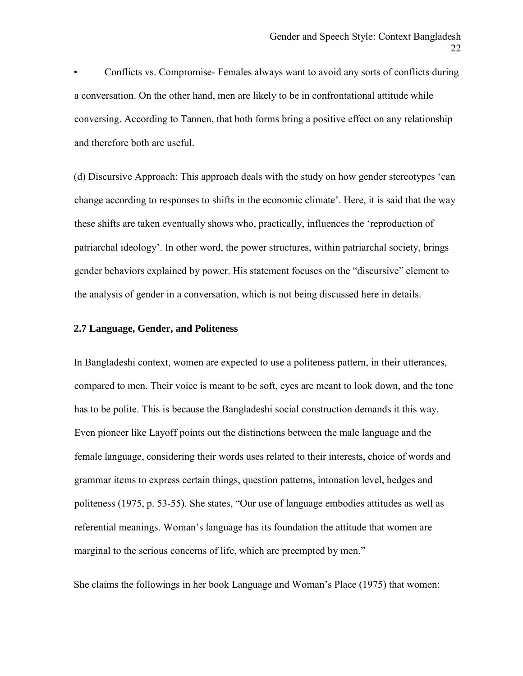• Conflicts vs. Compromise- Females always want to avoid any sorts of conflicts during a conversation. On the other hand, men are likely to be in confrontational attitude while conversing. According to Tannen, that both forms bring a positive effect on any relationship and therefore both are useful.

(d) Discursive Approach: This approach deals with the study on how gender stereotypes 'can change according to responses to shifts in the economic climate'. Here, it is said that the way these shifts are taken eventually shows who, practically, influences the 'reproduction of patriarchal ideology'. In other word, the power structures, within patriarchal society, brings gender behaviors explained by power. His statement focuses on the "discursive" element to the analysis of gender in a conversation, which is not being discussed here in details.

#### **2.7 Language, Gender, and Politeness**

In Bangladeshi context, women are expected to use a politeness pattern, in their utterances, compared to men. Their voice is meant to be soft, eyes are meant to look down, and the tone has to be polite. This is because the Bangladeshi social construction demands it this way. Even pioneer like Layoff points out the distinctions between the male language and the female language, considering their words uses related to their interests, choice of words and grammar items to express certain things, question patterns, intonation level, hedges and politeness (1975, p. 53-55). She states, "Our use of language embodies attitudes as well as referential meanings. Woman's language has its foundation the attitude that women are marginal to the serious concerns of life, which are preempted by men."

She claims the followings in her book Language and Woman's Place (1975) that women: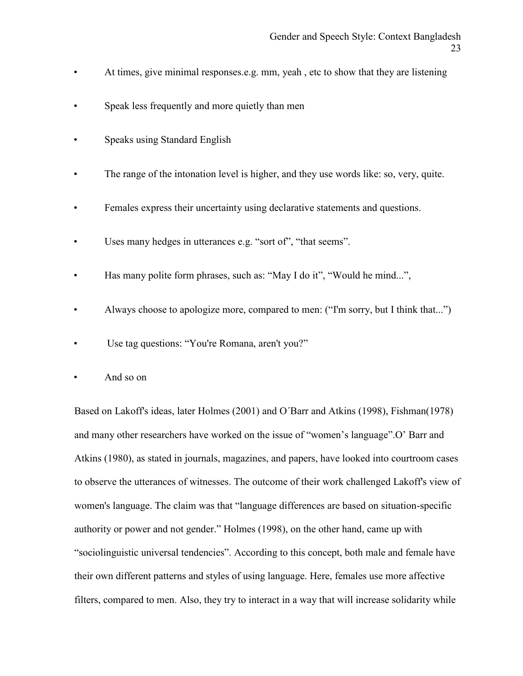- At times, give minimal responses.e.g. mm, yeah, etc to show that they are listening
- Speak less frequently and more quietly than men
- Speaks using Standard English
- The range of the intonation level is higher, and they use words like: so, very, quite.
- Females express their uncertainty using declarative statements and questions.
- Uses many hedges in utterances e.g. "sort of", "that seems".
- Has many polite form phrases, such as: "May I do it", "Would he mind...",
- Always choose to apologize more, compared to men: ("I'm sorry, but I think that...")
- Use tag questions: "You're Romana, aren't you?"
- And so on

 Based on Lakoff's ideas, later Holmes (2001) and O´Barr and Atkins (1998), Fishman(1978) and many other researchers have worked on the issue of "women's language".O' Barr and Atkins (1980), as stated in journals, magazines, and papers, have looked into courtroom cases to observe the utterances of witnesses. The outcome of their work challenged Lakoff's view of women's language. The claim was that "language differences are based on situation-specific authority or power and not gender." Holmes (1998), on the other hand, came up with "sociolinguistic universal tendencies". According to this concept, both male and female have their own different patterns and styles of using language. Here, females use more affective filters, compared to men. Also, they try to interact in a way that will increase solidarity while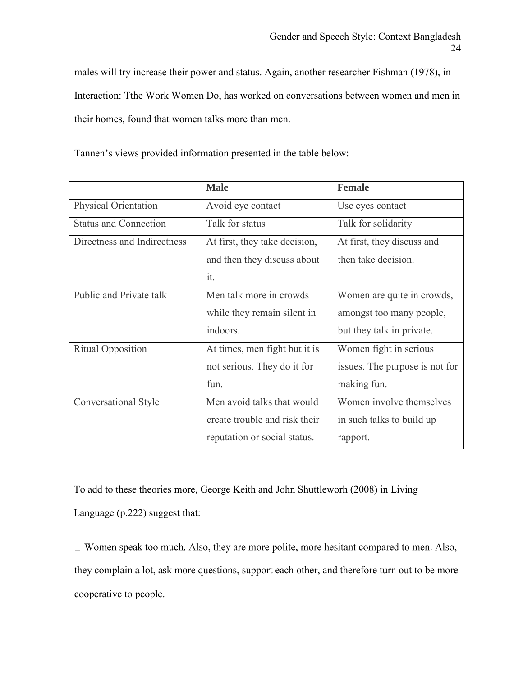males will try increase their power and status. Again, another researcher Fishman (1978), in Interaction: Tthe Work Women Do, has worked on conversations between women and men in their homes, found that women talks more than men.

|                              | <b>Male</b>                   | <b>Female</b>                  |  |  |
|------------------------------|-------------------------------|--------------------------------|--|--|
| <b>Physical Orientation</b>  | Avoid eye contact             | Use eyes contact               |  |  |
| <b>Status and Connection</b> | Talk for status               | Talk for solidarity            |  |  |
| Directness and Indirectness  | At first, they take decision, | At first, they discuss and     |  |  |
|                              | and then they discuss about   | then take decision.            |  |  |
|                              | it.                           |                                |  |  |
| Public and Private talk      | Men talk more in crowds       | Women are quite in crowds,     |  |  |
|                              | while they remain silent in   | amongst too many people,       |  |  |
|                              | indoors.                      | but they talk in private.      |  |  |
| <b>Ritual Opposition</b>     | At times, men fight but it is | Women fight in serious         |  |  |
|                              | not serious. They do it for   | issues. The purpose is not for |  |  |
|                              | fun.                          | making fun.                    |  |  |
| Conversational Style         | Men avoid talks that would    | Women involve themselves       |  |  |
|                              | create trouble and risk their | in such talks to build up      |  |  |
|                              | reputation or social status.  | rapport.                       |  |  |

Tannen's views provided information presented in the table below:

To add to these theories more, George Keith and John Shuttleworh (2008) in Living

Language (p.222) suggest that:

 $\Box$  Women speak too much. Also, they are more polite, more hesitant compared to men. Also, they complain a lot, ask more questions, support each other, and therefore turn out to be more cooperative to people.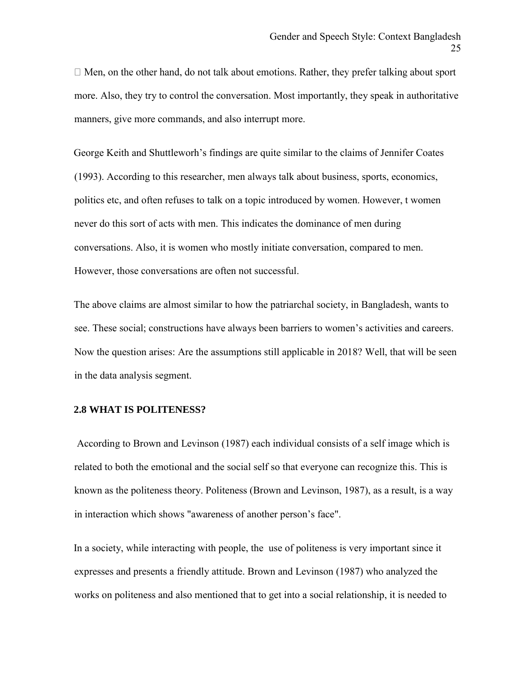$\Box$  Men, on the other hand, do not talk about emotions. Rather, they prefer talking about sport more. Also, they try to control the conversation. Most importantly, they speak in authoritative manners, give more commands, and also interrupt more.

George Keith and Shuttleworh's findings are quite similar to the claims of Jennifer Coates (1993). According to this researcher, men always talk about business, sports, economics, politics etc, and often refuses to talk on a topic introduced by women. However, t women never do this sort of acts with men. This indicates the dominance of men during conversations. Also, it is women who mostly initiate conversation, compared to men. However, those conversations are often not successful.

The above claims are almost similar to how the patriarchal society, in Bangladesh, wants to see. These social; constructions have always been barriers to women's activities and careers. Now the question arises: Are the assumptions still applicable in 2018? Well, that will be seen in the data analysis segment.

#### **2.8 WHAT IS POLITENESS?**

 According to Brown and Levinson (1987) each individual consists of a self image which is related to both the emotional and the social self so that everyone can recognize this. This is known as the politeness theory. Politeness (Brown and Levinson, 1987), as a result, is a way in interaction which shows "awareness of another person's face".

In a society, while interacting with people, the use of politeness is very important since it expresses and presents a friendly attitude. Brown and Levinson (1987) who analyzed the works on politeness and also mentioned that to get into a social relationship, it is needed to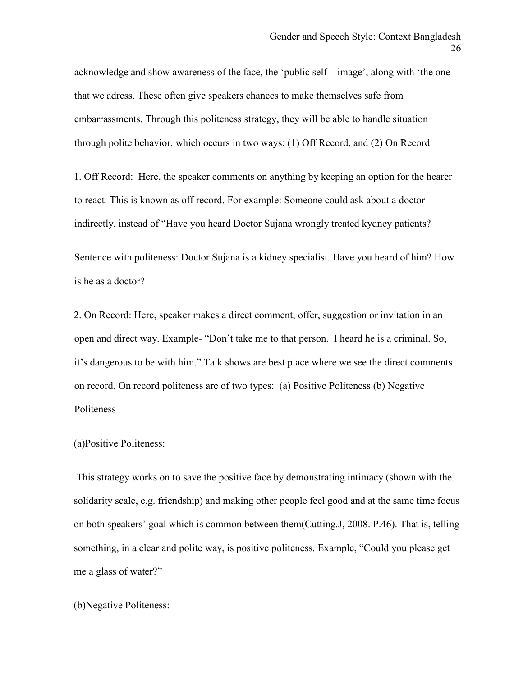acknowledge and show awareness of the face, the 'public self – image', along with 'the one that we adress. These often give speakers chances to make themselves safe from embarrassments. Through this politeness strategy, they will be able to handle situation through polite behavior, which occurs in two ways: (1) Off Record, and (2) On Record

1. Off Record: Here, the speaker comments on anything by keeping an option for the hearer to react. This is known as off record. For example: Someone could ask about a doctor indirectly, instead of "Have you heard Doctor Sujana wrongly treated kydney patients?

 Sentence with politeness: Doctor Sujana is a kidney specialist. Have you heard of him? How is he as a doctor?

2. On Record: Here, speaker makes a direct comment, offer, suggestion or invitation in an open and direct way. Example- "Don't take me to that person. I heard he is a criminal. So, it's dangerous to be with him." Talk shows are best place where we see the direct comments on record. On record politeness are of two types: (a) Positive Politeness (b) Negative Politeness

#### (a)Positive Politeness:

This strategy works on to save the positive face by demonstrating intimacy (shown with the solidarity scale, e.g. friendship) and making other people feel good and at the same time focus on both speakers' goal which is common between them(Cutting.J, 2008. P.46). That is, telling something, in a clear and polite way, is positive politeness. Example, "Could you please get me a glass of water?"

#### (b)Negative Politeness: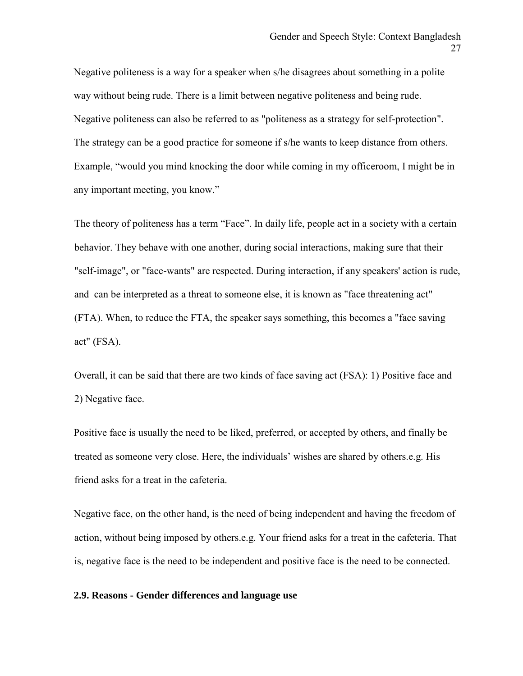Negative politeness is a way for a speaker when s/he disagrees about something in a polite way without being rude. There is a limit between negative politeness and being rude. Negative politeness can also be referred to as "politeness as a strategy for self-protection". The strategy can be a good practice for someone if s/he wants to keep distance from others. Example, "would you mind knocking the door while coming in my officeroom, I might be in any important meeting, you know."

 The theory of politeness has a term "Face". In daily life, people act in a society with a certain behavior. They behave with one another, during social interactions, making sure that their "self-image", or "face-wants" are respected. During interaction, if any speakers' action is rude, and can be interpreted as a threat to someone else, it is known as "face threatening act" (FTA). When, to reduce the FTA, the speaker says something, this becomes a "face saving act" (FSA).

 Overall, it can be said that there are two kinds of face saving act (FSA): 1) Positive face and 2) Negative face.

Positive face is usually the need to be liked, preferred, or accepted by others, and finally be treated as someone very close. Here, the individuals' wishes are shared by others.e.g. His friend asks for a treat in the cafeteria.

Negative face, on the other hand, is the need of being independent and having the freedom of action, without being imposed by others.e.g. Your friend asks for a treat in the cafeteria. That is, negative face is the need to be independent and positive face is the need to be connected.

#### **2.9. Reasons - Gender differences and language use**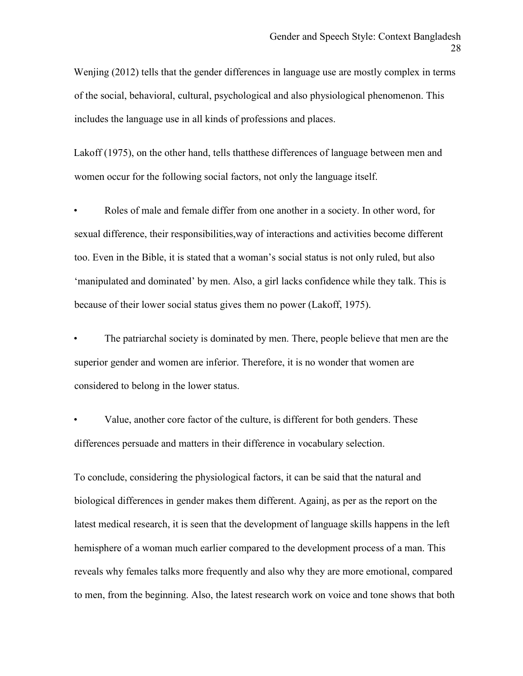Wenjing (2012) tells that the gender differences in language use are mostly complex in terms of the social, behavioral, cultural, psychological and also physiological phenomenon. This includes the language use in all kinds of professions and places.

Lakoff (1975), on the other hand, tells thatthese differences of language between men and women occur for the following social factors, not only the language itself.

Roles of male and female differ from one another in a society. In other word, for sexual difference, their responsibilities,way of interactions and activities become different too. Even in the Bible, it is stated that a woman's social status is not only ruled, but also 'manipulated and dominated' by men. Also, a girl lacks confidence while they talk. This is because of their lower social status gives them no power (Lakoff, 1975).

The patriarchal society is dominated by men. There, people believe that men are the superior gender and women are inferior. Therefore, it is no wonder that women are considered to belong in the lower status.

Value, another core factor of the culture, is different for both genders. These differences persuade and matters in their difference in vocabulary selection.

To conclude, considering the physiological factors, it can be said that the natural and biological differences in gender makes them different. Againj, as per as the report on the latest medical research, it is seen that the development of language skills happens in the left hemisphere of a woman much earlier compared to the development process of a man. This reveals why females talks more frequently and also why they are more emotional, compared to men, from the beginning. Also, the latest research work on voice and tone shows that both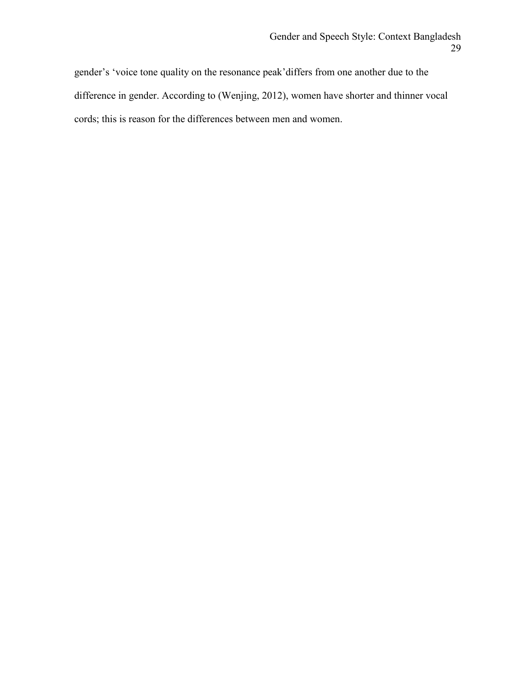gender's 'voice tone quality on the resonance peak'differs from one another due to the difference in gender. According to (Wenjing, 2012), women have shorter and thinner vocal cords; this is reason for the differences between men and women.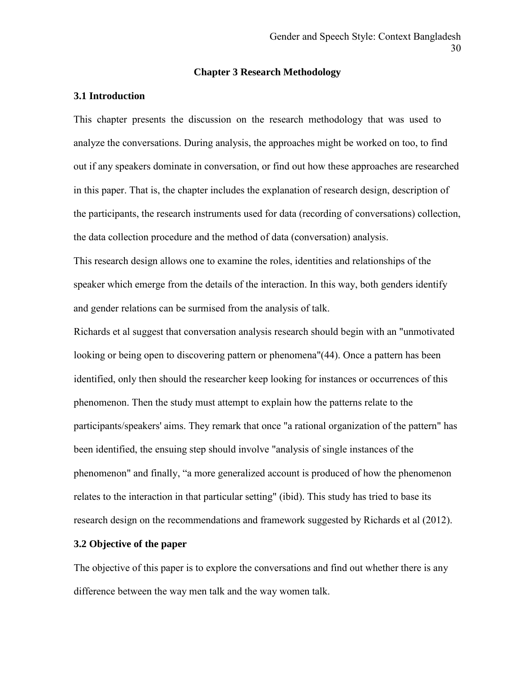#### **Chapter 3 Research Methodology**

#### **3.1 Introduction**

This chapter presents the discussion on the research methodology that was used to analyze the conversations. During analysis, the approaches might be worked on too, to find out if any speakers dominate in conversation, or find out how these approaches are researched in this paper. That is, the chapter includes the explanation of research design, description of the participants, the research instruments used for data (recording of conversations) collection, the data collection procedure and the method of data (conversation) analysis.

This research design allows one to examine the roles, identities and relationships of the speaker which emerge from the details of the interaction. In this way, both genders identify and gender relations can be surmised from the analysis of talk.

Richards et al suggest that conversation analysis research should begin with an "unmotivated looking or being open to discovering pattern or phenomena"(44). Once a pattern has been identified, only then should the researcher keep looking for instances or occurrences of this phenomenon. Then the study must attempt to explain how the patterns relate to the participants/speakers' aims. They remark that once "a rational organization of the pattern" has been identified, the ensuing step should involve "analysis of single instances of the phenomenon" and finally, "a more generalized account is produced of how the phenomenon relates to the interaction in that particular setting" (ibid). This study has tried to base its research design on the recommendations and framework suggested by Richards et al (2012).

#### **3.2 Objective of the paper**

The objective of this paper is to explore the conversations and find out whether there is any difference between the way men talk and the way women talk.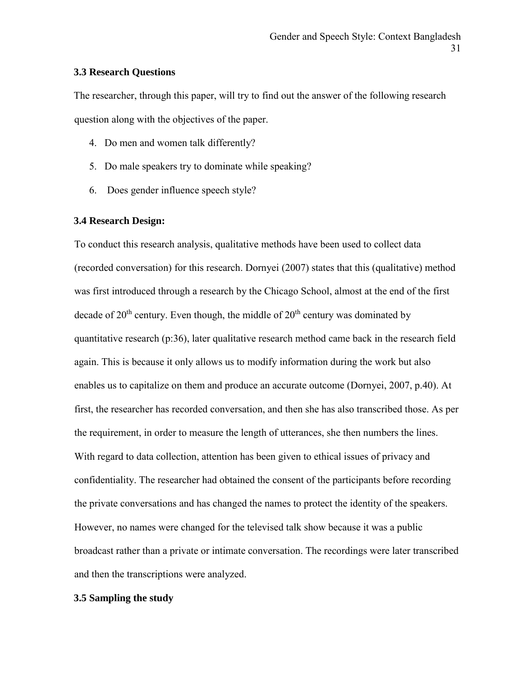#### **3.3 Research Questions**

The researcher, through this paper, will try to find out the answer of the following research question along with the objectives of the paper.

- 4. Do men and women talk differently?
- 5. Do male speakers try to dominate while speaking?
- 6. Does gender influence speech style?

#### **3.4 Research Design:**

To conduct this research analysis, qualitative methods have been used to collect data (recorded conversation) for this research. Dornyei (2007) states that this (qualitative) method was first introduced through a research by the Chicago School, almost at the end of the first decade of  $20<sup>th</sup>$  century. Even though, the middle of  $20<sup>th</sup>$  century was dominated by quantitative research (p:36), later qualitative research method came back in the research field again. This is because it only allows us to modify information during the work but also enables us to capitalize on them and produce an accurate outcome (Dornyei, 2007, p.40). At first, the researcher has recorded conversation, and then she has also transcribed those. As per the requirement, in order to measure the length of utterances, she then numbers the lines. With regard to data collection, attention has been given to ethical issues of privacy and confidentiality. The researcher had obtained the consent of the participants before recording the private conversations and has changed the names to protect the identity of the speakers. However, no names were changed for the televised talk show because it was a public broadcast rather than a private or intimate conversation. The recordings were later transcribed and then the transcriptions were analyzed.

#### **3.5 Sampling the study**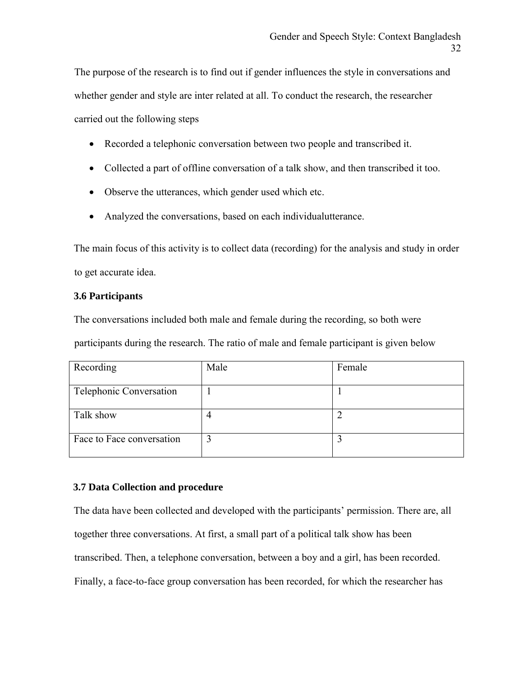The purpose of the research is to find out if gender influences the style in conversations and whether gender and style are inter related at all. To conduct the research, the researcher carried out the following steps

- Recorded a telephonic conversation between two people and transcribed it.
- Collected a part of offline conversation of a talk show, and then transcribed it too.
- Observe the utterances, which gender used which etc.
- Analyzed the conversations, based on each individualutterance.

The main focus of this activity is to collect data (recording) for the analysis and study in order to get accurate idea.

#### **3.6 Participants**

The conversations included both male and female during the recording, so both were participants during the research. The ratio of male and female participant is given below

| Recording                 | Male | Female |
|---------------------------|------|--------|
| Telephonic Conversation   |      |        |
| Talk show                 |      |        |
| Face to Face conversation | 3    |        |

#### **3.7 Data Collection and procedure**

The data have been collected and developed with the participants' permission. There are, all together three conversations. At first, a small part of a political talk show has been transcribed. Then, a telephone conversation, between a boy and a girl, has been recorded. Finally, a face-to-face group conversation has been recorded, for which the researcher has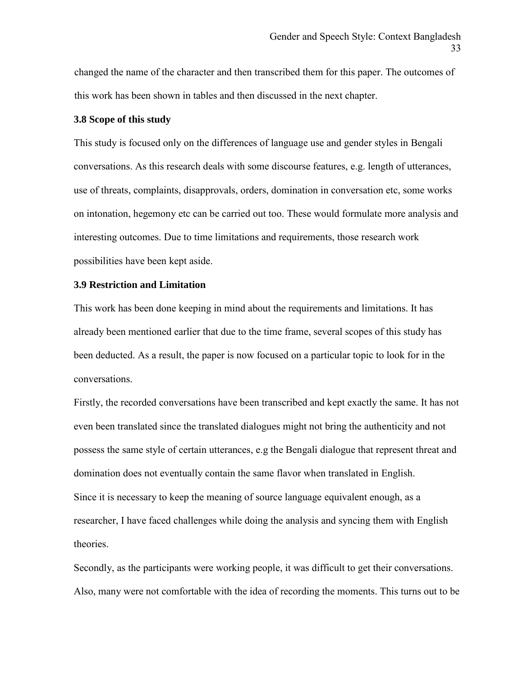changed the name of the character and then transcribed them for this paper. The outcomes of this work has been shown in tables and then discussed in the next chapter.

#### **3.8 Scope of this study**

This study is focused only on the differences of language use and gender styles in Bengali conversations. As this research deals with some discourse features, e.g. length of utterances, use of threats, complaints, disapprovals, orders, domination in conversation etc, some works on intonation, hegemony etc can be carried out too. These would formulate more analysis and interesting outcomes. Due to time limitations and requirements, those research work possibilities have been kept aside.

#### **3.9 Restriction and Limitation**

This work has been done keeping in mind about the requirements and limitations. It has already been mentioned earlier that due to the time frame, several scopes of this study has been deducted. As a result, the paper is now focused on a particular topic to look for in the conversations.

Firstly, the recorded conversations have been transcribed and kept exactly the same. It has not even been translated since the translated dialogues might not bring the authenticity and not possess the same style of certain utterances, e.g the Bengali dialogue that represent threat and domination does not eventually contain the same flavor when translated in English. Since it is necessary to keep the meaning of source language equivalent enough, as a researcher, I have faced challenges while doing the analysis and syncing them with English theories.

Secondly, as the participants were working people, it was difficult to get their conversations. Also, many were not comfortable with the idea of recording the moments. This turns out to be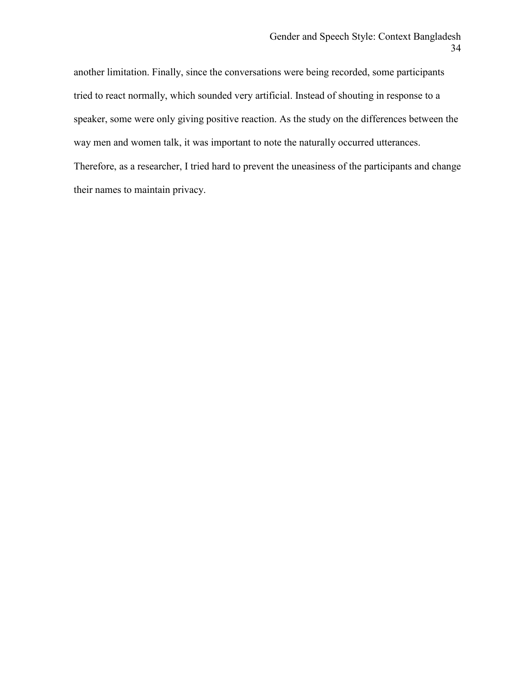another limitation. Finally, since the conversations were being recorded, some participants tried to react normally, which sounded very artificial. Instead of shouting in response to a speaker, some were only giving positive reaction. As the study on the differences between the way men and women talk, it was important to note the naturally occurred utterances. Therefore, as a researcher, I tried hard to prevent the uneasiness of the participants and change

their names to maintain privacy.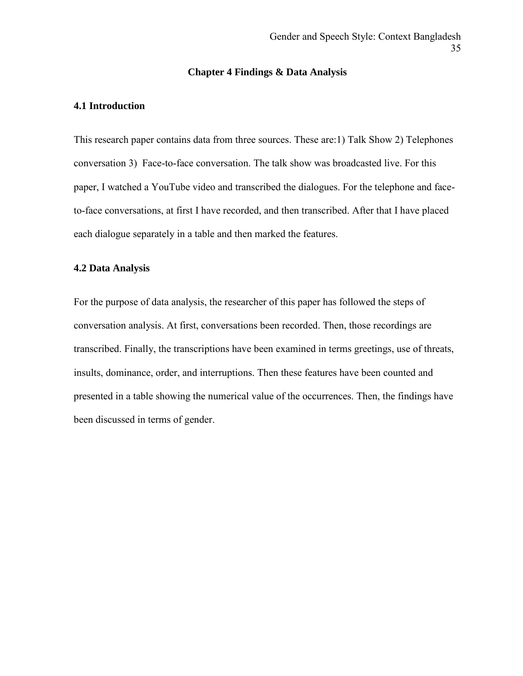#### **Chapter 4 Findings & Data Analysis**

#### **4.1 Introduction**

This research paper contains data from three sources. These are:1) Talk Show 2) Telephones conversation 3) Face-to-face conversation. The talk show was broadcasted live. For this paper, I watched a YouTube video and transcribed the dialogues. For the telephone and faceto-face conversations, at first I have recorded, and then transcribed. After that I have placed each dialogue separately in a table and then marked the features.

#### **4.2 Data Analysis**

For the purpose of data analysis, the researcher of this paper has followed the steps of conversation analysis. At first, conversations been recorded. Then, those recordings are transcribed. Finally, the transcriptions have been examined in terms greetings, use of threats, insults, dominance, order, and interruptions. Then these features have been counted and presented in a table showing the numerical value of the occurrences. Then, the findings have been discussed in terms of gender.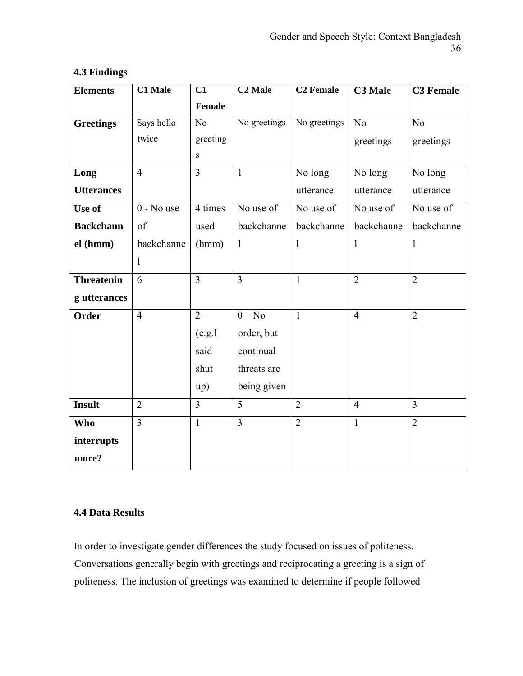| <b>Elements</b>   | <b>C1 Male</b> |                | <b>C2 Male</b> | <b>C<sub>2</sub></b> Female | <b>C3 Male</b> | <b>C3</b> Female |  |
|-------------------|----------------|----------------|----------------|-----------------------------|----------------|------------------|--|
|                   |                | <b>Female</b>  |                |                             |                |                  |  |
| <b>Greetings</b>  | Says hello     | N <sub>o</sub> | No greetings   | No greetings                | No             | No               |  |
|                   | twice          | greeting       |                |                             | greetings      | greetings        |  |
|                   |                | ${\bf S}$      |                |                             |                |                  |  |
| Long              | $\overline{4}$ | $\overline{3}$ | $\mathbf{1}$   | No long                     | No long        | No long          |  |
| <b>Utterances</b> |                |                |                | utterance                   | utterance      | utterance        |  |
| Use of            | $0 - No$ use   | 4 times        | No use of      | No use of                   | No use of      | No use of        |  |
| <b>Backchann</b>  | of             | used           | backchanne     | backchanne                  | backchanne     | backchanne       |  |
| el (hmm)          | backchanne     | (hmm)          | $\mathbf{1}$   | 1                           | $\mathbf{1}$   | $\mathbf{1}$     |  |
|                   | $\mathbf{1}$   |                |                |                             |                |                  |  |
| <b>Threatenin</b> | 6              | $\overline{3}$ | $\overline{3}$ | $\mathbf{1}$                | $\overline{2}$ | $\overline{2}$   |  |
| g utterances      |                |                |                |                             |                |                  |  |
| <b>Order</b>      | $\overline{4}$ | $2-$           | $0 - No$       | $\mathbf{1}$                | $\overline{4}$ | $\overline{2}$   |  |
|                   |                | $(\rm e.g. I$  | order, but     |                             |                |                  |  |
|                   |                | said           | continual      |                             |                |                  |  |
|                   |                | shut           | threats are    |                             |                |                  |  |
|                   |                | up)            | being given    |                             |                |                  |  |
| <b>Insult</b>     | $\overline{2}$ | $\overline{3}$ | 5              | $\overline{2}$              | $\overline{4}$ | $\overline{3}$   |  |
| <b>Who</b>        | $\overline{3}$ | $\mathbf{1}$   | $\overline{3}$ | $\overline{2}$              | $\mathbf{1}$   | $\overline{2}$   |  |
| interrupts        |                |                |                |                             |                |                  |  |
| more?             |                |                |                |                             |                |                  |  |

### **4.3 Findings**

#### **4.4 Data Results**

In order to investigate gender differences the study focused on issues of politeness. Conversations generally begin with greetings and reciprocating a greeting is a sign of politeness. The inclusion of greetings was examined to determine if people followed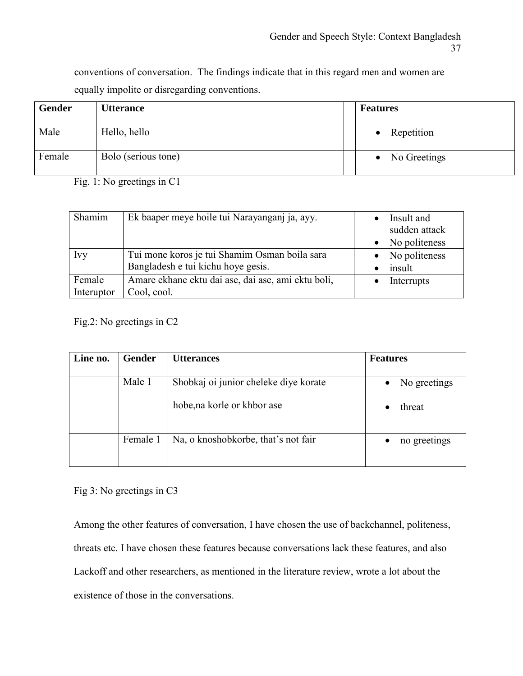conventions of conversation. The findings indicate that in this regard men and women are equally impolite or disregarding conventions.

| Gender | <b>Utterance</b>    | <b>Features</b>           |
|--------|---------------------|---------------------------|
| Male   | Hello, hello        | Repetition                |
| Female | Bolo (serious tone) | No Greetings<br>$\bullet$ |

Fig. 1: No greetings in C1

| Shamim     | Ek baaper meye hoile tui Narayanganj ja, ayy.      | Insult and<br>sudden attack |
|------------|----------------------------------------------------|-----------------------------|
|            |                                                    | No politeness               |
|            |                                                    |                             |
| Ivy        | Tui mone koros je tui Shamim Osman boila sara      | No politeness               |
|            | Bangladesh e tui kichu hoye gesis.                 | insult                      |
| Female     | Amare ekhane ektu dai ase, dai ase, ami ektu boli, | Interrupts                  |
| Interuptor | Cool, cool.                                        |                             |

Fig.2: No greetings in C2

| Line no. | <b>Gender</b> | <b>Utterances</b>                     | <b>Features</b> |
|----------|---------------|---------------------------------------|-----------------|
|          | Male 1        | Shobkaj oi junior cheleke diye korate | No greetings    |
|          |               | hobe, na korle or khbor ase           | threat          |
|          | Female 1      | Na, o knoshobkorbe, that's not fair   | no greetings    |

Fig 3: No greetings in C3

Among the other features of conversation, I have chosen the use of backchannel, politeness, threats etc. I have chosen these features because conversations lack these features, and also Lackoff and other researchers, as mentioned in the literature review, wrote a lot about the existence of those in the conversations.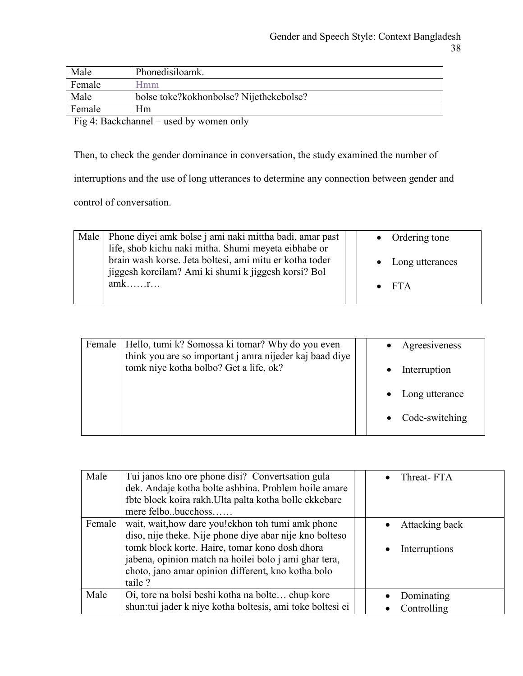| Male   | Phonedisiloamk.                         |
|--------|-----------------------------------------|
| Female | Hmm                                     |
| Male   | bolse toke?kokhonbolse? Nijethekebolse? |
| Female | Hm                                      |
|        |                                         |

Fig 4: Backchannel – used by women only

Then, to check the gender dominance in conversation, the study examined the number of

interruptions and the use of long utterances to determine any connection between gender and

control of conversation.

| Male   Phone diyei amk bolse j ami naki mittha badi, amar past |  | $\bullet$ Ordering tone |
|----------------------------------------------------------------|--|-------------------------|
| life, shob kichu naki mitha. Shumi meyeta eibhabe or           |  |                         |
| brain wash korse. Jeta boltesi, ami mitu er kotha toder        |  | • Long utterances       |
| jiggesh korcilam? Ami ki shumi k jiggesh korsi? Bol            |  |                         |
| $amk$ $r$                                                      |  | $\bullet$ FTA           |
|                                                                |  |                         |

| Female | Hello, tumi k? Somossa ki tomar? Why do you even<br>think you are so important j amra nijeder kaj baad diye |  | Agreesiveness    |
|--------|-------------------------------------------------------------------------------------------------------------|--|------------------|
|        | tomk niye kotha bolbo? Get a life, ok?                                                                      |  | Interruption     |
|        |                                                                                                             |  | Long utterance   |
|        |                                                                                                             |  | • Code-switching |

| Male   | Tui janos kno ore phone disi? Convertsation gula<br>dek. Andaje kotha bolte ashbina. Problem hoile amare<br>fbte block koira rakh. Ulta palta kotha bolle ekkebare<br>mere felbobucchoss                                                                                                | Threat-FTA                      |
|--------|-----------------------------------------------------------------------------------------------------------------------------------------------------------------------------------------------------------------------------------------------------------------------------------------|---------------------------------|
| Female | wait, wait, how dare you!ekhon toh tumi amk phone<br>diso, nije theke. Nije phone diye abar nije kno bolteso<br>tomk block korte. Haire, tomar kono dosh dhora<br>jabena, opinion match na hoilei bolo j ami ghar tera,<br>choto, jano amar opinion different, kno kotha bolo<br>taile? | Attacking back<br>Interruptions |
| Male   | Oi, tore na bolsi beshi kotha na bolte chup kore<br>shun: tui jader k niye kotha boltesis, ami toke boltesi ei                                                                                                                                                                          | Dominating<br>Controlling       |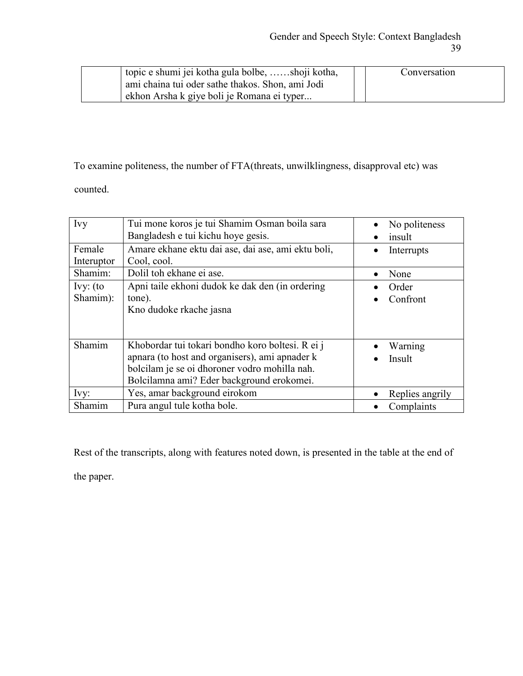| topic e shumi jei kotha gula bolbe, shoji kotha, | Conversation |
|--------------------------------------------------|--------------|
| ami chaina tui oder sathe thakos. Shon, ami Jodi |              |
| ekhon Arsha k giye boli je Romana ei typer       |              |

### To examine politeness, the number of FTA(threats, unwilklingness, disapproval etc) was

counted.

| Ivy                    | Tui mone koros je tui Shamim Osman boila sara<br>Bangladesh e tui kichu hoye gesis.                                                                                                              | No politeness<br>insult |
|------------------------|--------------------------------------------------------------------------------------------------------------------------------------------------------------------------------------------------|-------------------------|
| Female<br>Interuptor   | Amare ekhane ektu dai ase, dai ase, ami ektu boli,<br>Cool, cool.                                                                                                                                | Interrupts              |
| Shamim:                | Dolil toh ekhane ei ase.                                                                                                                                                                         | None                    |
| $Ivy:$ (to<br>Shamim): | Apni taile ekhoni dudok ke dak den (in ordering<br>tone).<br>Kno dudoke rkache jasna                                                                                                             | Order<br>Confront       |
| Shamim                 | Khobordar tui tokari bondho koro boltesi. R ei j<br>apnara (to host and organisers), ami apnader k<br>bolcilam je se oi dhoroner vodro mohilla nah.<br>Bolcilamna ami? Eder background erokomei. | Warning<br>Insult       |
| Ivy:                   | Yes, amar background eirokom                                                                                                                                                                     | Replies angrily         |
| Shamim                 | Pura angul tule kotha bole.                                                                                                                                                                      | Complaints              |

Rest of the transcripts, along with features noted down, is presented in the table at the end of

the paper.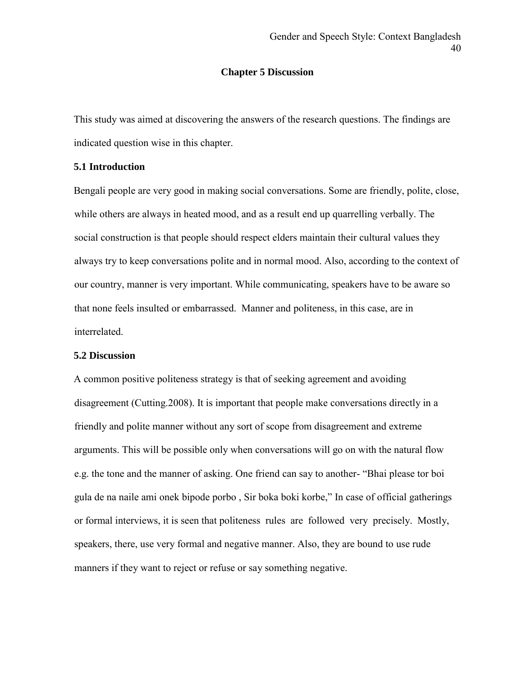#### **Chapter 5 Discussion**

This study was aimed at discovering the answers of the research questions. The findings are indicated question wise in this chapter.

#### **5.1 Introduction**

Bengali people are very good in making social conversations. Some are friendly, polite, close, while others are always in heated mood, and as a result end up quarrelling verbally. The social construction is that people should respect elders maintain their cultural values they always try to keep conversations polite and in normal mood. Also, according to the context of our country, manner is very important. While communicating, speakers have to be aware so that none feels insulted or embarrassed. Manner and politeness, in this case, are in interrelated.

#### **5.2 Discussion**

A common positive politeness strategy is that of seeking agreement and avoiding disagreement (Cutting.2008). It is important that people make conversations directly in a friendly and polite manner without any sort of scope from disagreement and extreme arguments. This will be possible only when conversations will go on with the natural flow e.g. the tone and the manner of asking. One friend can say to another- "Bhai please tor boi gula de na naile ami onek bipode porbo , Sir boka boki korbe," In case of official gatherings or formal interviews, it is seen that politeness rules are followed very precisely. Mostly, speakers, there, use very formal and negative manner. Also, they are bound to use rude manners if they want to reject or refuse or say something negative.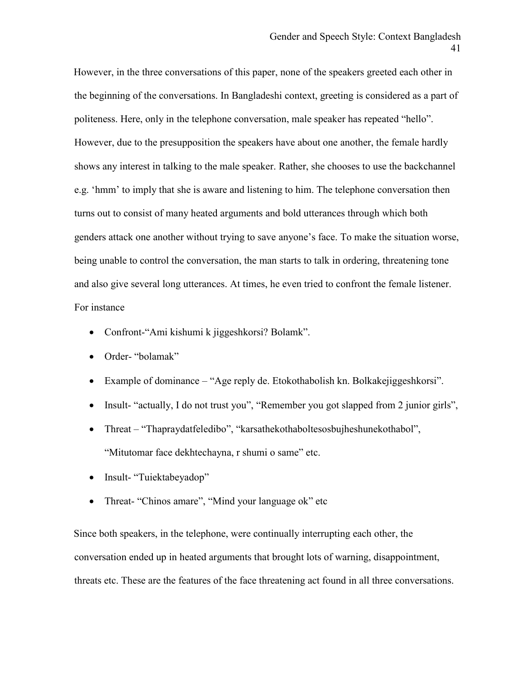However, in the three conversations of this paper, none of the speakers greeted each other in the beginning of the conversations. In Bangladeshi context, greeting is considered as a part of politeness. Here, only in the telephone conversation, male speaker has repeated "hello". However, due to the presupposition the speakers have about one another, the female hardly shows any interest in talking to the male speaker. Rather, she chooses to use the backchannel e.g. 'hmm' to imply that she is aware and listening to him. The telephone conversation then turns out to consist of many heated arguments and bold utterances through which both genders attack one another without trying to save anyone's face. To make the situation worse, being unable to control the conversation, the man starts to talk in ordering, threatening tone and also give several long utterances. At times, he even tried to confront the female listener. For instance

- Confront-"Ami kishumi k jiggeshkorsi? Bolamk".
- Order- "bolamak"
- Example of dominance "Age reply de. Etokothabolish kn. Bolkakejiggeshkorsi".
- Insult- "actually, I do not trust you", "Remember you got slapped from 2 junior girls",
- Threat "Thapraydatfeledibo", "karsathekothaboltesosbujheshunekothabol", "Mitutomar face dekhtechayna, r shumi o same" etc.
- Insult- "Tuiektabeyadop"
- Threat- "Chinos amare", "Mind your language ok" etc

Since both speakers, in the telephone, were continually interrupting each other, the conversation ended up in heated arguments that brought lots of warning, disappointment, threats etc. These are the features of the face threatening act found in all three conversations.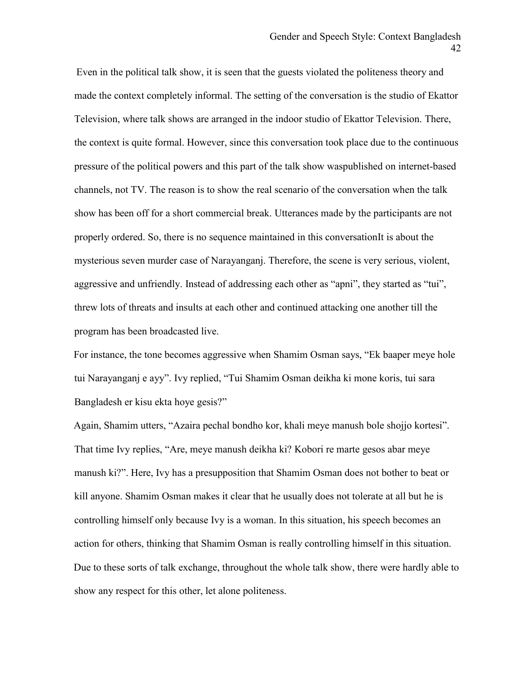Even in the political talk show, it is seen that the guests violated the politeness theory and made the context completely informal. The setting of the conversation is the studio of Ekattor Television, where talk shows are arranged in the indoor studio of Ekattor Television. There, the context is quite formal. However, since this conversation took place due to the continuous pressure of the political powers and this part of the talk show waspublished on internet-based channels, not TV. The reason is to show the real scenario of the conversation when the talk show has been off for a short commercial break. Utterances made by the participants are not properly ordered. So, there is no sequence maintained in this conversationIt is about the mysterious seven murder case of Narayanganj. Therefore, the scene is very serious, violent, aggressive and unfriendly. Instead of addressing each other as "apni", they started as "tui", threw lots of threats and insults at each other and continued attacking one another till the program has been broadcasted live.

For instance, the tone becomes aggressive when Shamim Osman says, "Ek baaper meye hole tui Narayanganj e ayy". Ivy replied, "Tui Shamim Osman deikha ki mone koris, tui sara Bangladesh er kisu ekta hoye gesis?"

Again, Shamim utters, "Azaira pechal bondho kor, khali meye manush bole shojjo kortesi". That time Ivy replies, "Are, meye manush deikha ki? Kobori re marte gesos abar meye manush ki?". Here, Ivy has a presupposition that Shamim Osman does not bother to beat or kill anyone. Shamim Osman makes it clear that he usually does not tolerate at all but he is controlling himself only because Ivy is a woman. In this situation, his speech becomes an action for others, thinking that Shamim Osman is really controlling himself in this situation. Due to these sorts of talk exchange, throughout the whole talk show, there were hardly able to show any respect for this other, let alone politeness.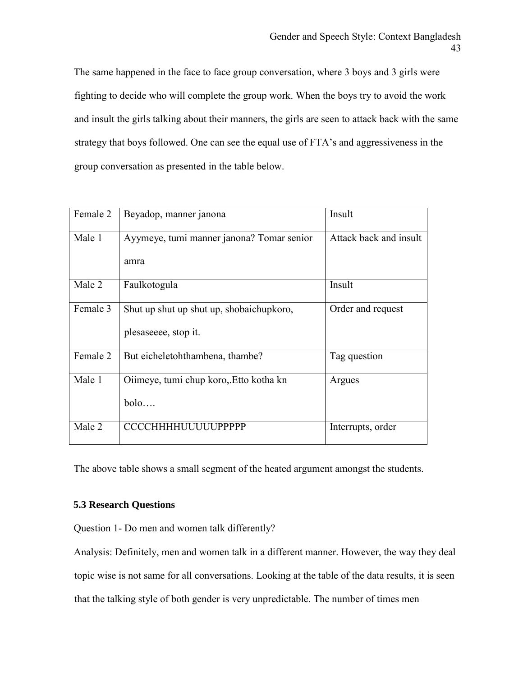The same happened in the face to face group conversation, where 3 boys and 3 girls were fighting to decide who will complete the group work. When the boys try to avoid the work and insult the girls talking about their manners, the girls are seen to attack back with the same strategy that boys followed. One can see the equal use of FTA's and aggressiveness in the group conversation as presented in the table below.

| Female 2 | Beyadop, manner janona                    | Insult                 |
|----------|-------------------------------------------|------------------------|
| Male 1   | Ayymeye, tumi manner janona? Tomar senior | Attack back and insult |
|          | amra                                      |                        |
| Male 2   | Faulkotogula                              | Insult                 |
| Female 3 | Shut up shut up shut up, shobaichupkoro,  | Order and request      |
|          | plesaseeee, stop it.                      |                        |
| Female 2 | But eicheletohthambena, thambe?           | Tag question           |
| Male 1   | Oiimeye, tumi chup koro, Etto kotha kn    | Argues                 |
|          | bolo                                      |                        |
| Male 2   | <b>CCCCHHHHUUUUUPPPPP</b>                 | Interrupts, order      |

The above table shows a small segment of the heated argument amongst the students.

#### **5.3 Research Questions**

Question 1- Do men and women talk differently?

Analysis: Definitely, men and women talk in a different manner. However, the way they deal topic wise is not same for all conversations. Looking at the table of the data results, it is seen that the talking style of both gender is very unpredictable. The number of times men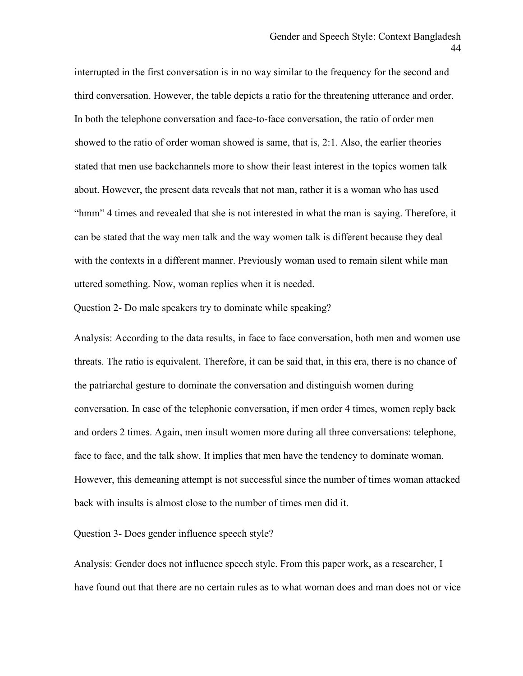interrupted in the first conversation is in no way similar to the frequency for the second and third conversation. However, the table depicts a ratio for the threatening utterance and order. In both the telephone conversation and face-to-face conversation, the ratio of order men showed to the ratio of order woman showed is same, that is, 2:1. Also, the earlier theories stated that men use backchannels more to show their least interest in the topics women talk about. However, the present data reveals that not man, rather it is a woman who has used "hmm" 4 times and revealed that she is not interested in what the man is saying. Therefore, it can be stated that the way men talk and the way women talk is different because they deal with the contexts in a different manner. Previously woman used to remain silent while man uttered something. Now, woman replies when it is needed.

Question 2- Do male speakers try to dominate while speaking?

Analysis: According to the data results, in face to face conversation, both men and women use threats. The ratio is equivalent. Therefore, it can be said that, in this era, there is no chance of the patriarchal gesture to dominate the conversation and distinguish women during conversation. In case of the telephonic conversation, if men order 4 times, women reply back and orders 2 times. Again, men insult women more during all three conversations: telephone, face to face, and the talk show. It implies that men have the tendency to dominate woman. However, this demeaning attempt is not successful since the number of times woman attacked back with insults is almost close to the number of times men did it.

Question 3- Does gender influence speech style?

Analysis: Gender does not influence speech style. From this paper work, as a researcher, I have found out that there are no certain rules as to what woman does and man does not or vice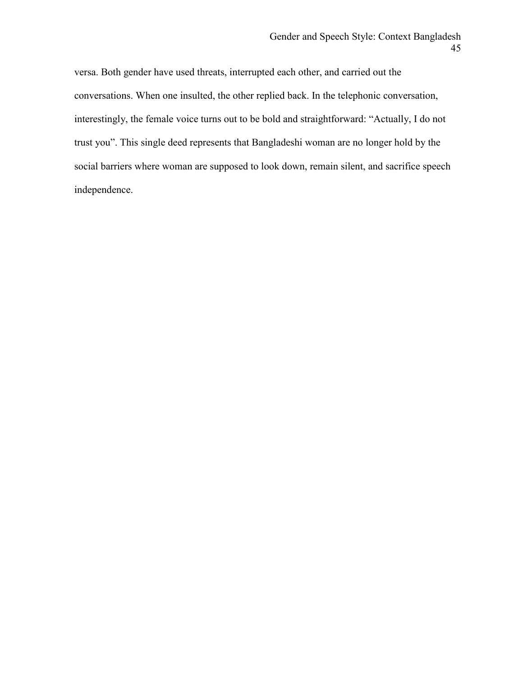versa. Both gender have used threats, interrupted each other, and carried out the conversations. When one insulted, the other replied back. In the telephonic conversation, interestingly, the female voice turns out to be bold and straightforward: "Actually, I do not trust you". This single deed represents that Bangladeshi woman are no longer hold by the social barriers where woman are supposed to look down, remain silent, and sacrifice speech independence.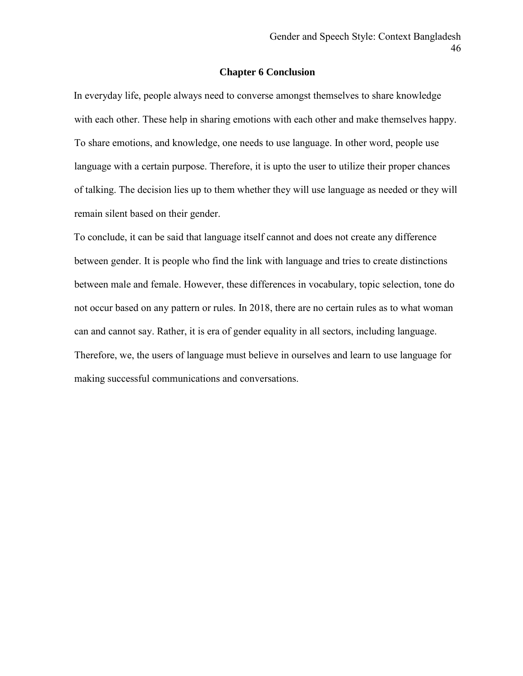#### **Chapter 6 Conclusion**

In everyday life, people always need to converse amongst themselves to share knowledge with each other. These help in sharing emotions with each other and make themselves happy. To share emotions, and knowledge, one needs to use language. In other word, people use language with a certain purpose. Therefore, it is upto the user to utilize their proper chances of talking. The decision lies up to them whether they will use language as needed or they will remain silent based on their gender.

To conclude, it can be said that language itself cannot and does not create any difference between gender. It is people who find the link with language and tries to create distinctions between male and female. However, these differences in vocabulary, topic selection, tone do not occur based on any pattern or rules. In 2018, there are no certain rules as to what woman can and cannot say. Rather, it is era of gender equality in all sectors, including language. Therefore, we, the users of language must believe in ourselves and learn to use language for making successful communications and conversations.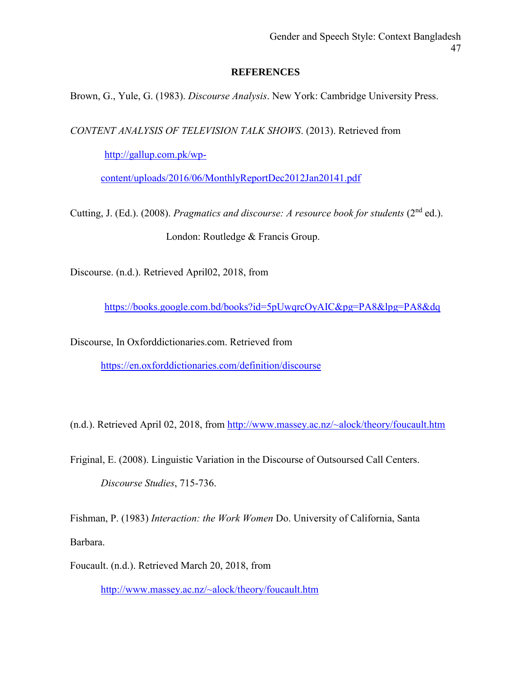#### **REFERENCES**

Brown, G., Yule, G. (1983). *Discourse Analysis*. New York: Cambridge University Press.

*CONTENT ANALYSIS OF TELEVISION TALK SHOWS*. (2013). Retrieved from

[http://gallup.com.pk/wp-](http://gallup.com.pk/wp-content/uploads/2016/06/MonthlyReportDec2012Jan20141.pdf)

[content/uploads/2016/06/MonthlyReportDec2012Jan20141.pdf](http://gallup.com.pk/wp-content/uploads/2016/06/MonthlyReportDec2012Jan20141.pdf)

Cutting, J. (Ed.). (2008). *Pragmatics and discourse: A resource book for students* (2nd ed.). London: Routledge & Francis Group.

Discourse. (n.d.). Retrieved April02, 2018, from

<https://books.google.com.bd/books?id=5pUwqrcOyAIC&pg=PA8&lpg=PA8&dq>

Discourse, In Oxforddictionaries.com. Retrieved from

<https://en.oxforddictionaries.com/definition/discourse>

(n.d.). Retrieved April 02, 2018, from<http://www.massey.ac.nz/~alock/theory/foucault.htm>

Friginal, E. (2008). Linguistic Variation in the Discourse of Outsoursed Call Centers. *Discourse Studies*, 715-736.

Fishman, P. (1983) *Interaction: the Work Women* Do. University of California, Santa Barbara.

Foucault. (n.d.). Retrieved March 20, 2018, from

<http://www.massey.ac.nz/~alock/theory/foucault.htm>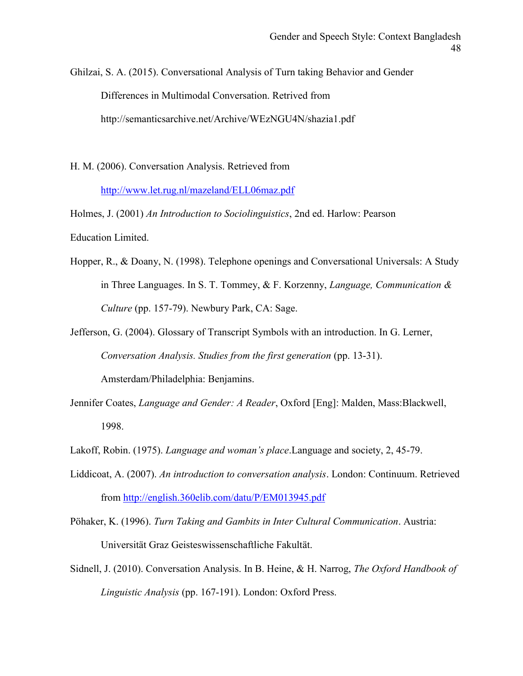Ghilzai, S. A. (2015). Conversational Analysis of Turn taking Behavior and Gender Differences in Multimodal Conversation. Retrived from http://semanticsarchive.net/Archive/WEzNGU4N/shazia1.pdf

H. M. (2006). Conversation Analysis. Retrieved from <http://www.let.rug.nl/mazeland/ELL06maz.pdf>

Holmes, J. (2001) *An Introduction to Sociolinguistics*, 2nd ed. Harlow: Pearson Education Limited.

Hopper, R., & Doany, N. (1998). Telephone openings and Conversational Universals: A Study in Three Languages. In S. T. Tommey, & F. Korzenny, *Language, Communication & Culture* (pp. 157-79). Newbury Park, CA: Sage.

Jefferson, G. (2004). Glossary of Transcript Symbols with an introduction. In G. Lerner, *Conversation Analysis. Studies from the first generation* (pp. 13-31). Amsterdam/Philadelphia: Benjamins.

- Jennifer Coates, *Language and Gender: A Reader*, Oxford [Eng]: Malden, Mass:Blackwell, 1998.
- Lakoff, Robin. (1975). *Language and woman's place*.Language and society, 2, 45-79.
- Liddicoat, A. (2007). *An introduction to conversation analysis*. London: Continuum. Retrieved from<http://english.360elib.com/datu/P/EM013945.pdf>

Pöhaker, K. (1996). *Turn Taking and Gambits in Inter Cultural Communication*. Austria: Universität Graz Geisteswissenschaftliche Fakultät.

Sidnell, J. (2010). Conversation Analysis. In B. Heine, & H. Narrog, *The Oxford Handbook of Linguistic Analysis* (pp. 167-191). London: Oxford Press.